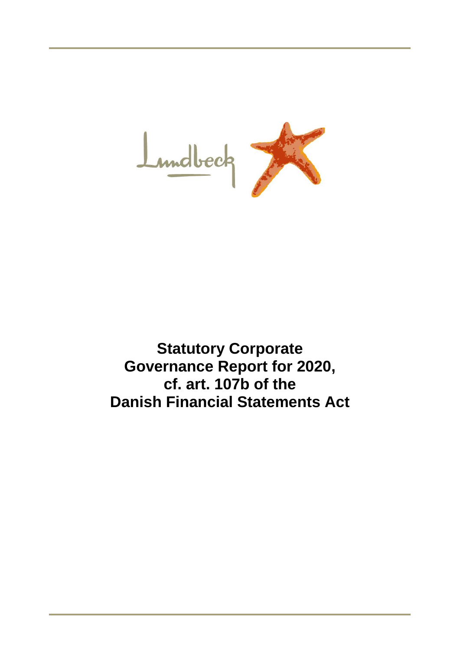

**Statutory Corporate Governance Report for 2020, cf. art. 107b of the Danish Financial Statements Act**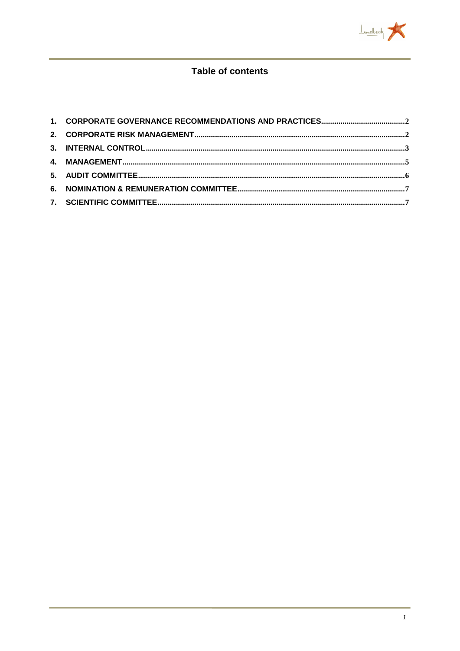

# **Table of contents**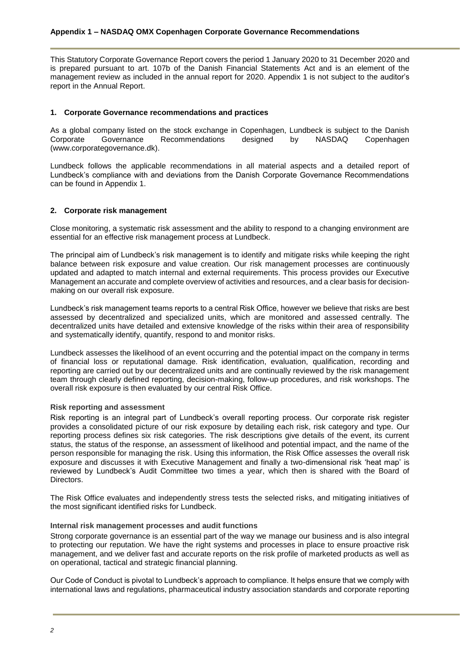This Statutory Corporate Governance Report covers the period 1 January 2020 to 31 December 2020 and is prepared pursuant to art. 107b of the Danish Financial Statements Act and is an element of the management review as included in the annual report for 2020. Appendix 1 is not subject to the auditor's report in the Annual Report.

# <span id="page-2-0"></span>**1. Corporate Governance recommendations and practices**

As a global company listed on the stock exchange in Copenhagen, Lundbeck is subject to the Danish<br>Corporate Governance Recommendations designed by NASDAQ Copenhagen Recommendations (www.corporategovernance.dk).

Lundbeck follows the applicable recommendations in all material aspects and a detailed report of Lundbeck's compliance with and deviations from the Danish Corporate Governance Recommendations can be found in Appendix 1.

# <span id="page-2-1"></span>**2. Corporate risk management**

Close monitoring, a systematic risk assessment and the ability to respond to a changing environment are essential for an effective risk management process at Lundbeck.

The principal aim of Lundbeck's risk management is to identify and mitigate risks while keeping the right balance between risk exposure and value creation. Our risk management processes are continuously updated and adapted to match internal and external requirements. This process provides our Executive Management an accurate and complete overview of activities and resources, and a clear basis for decisionmaking on our overall risk exposure.

Lundbeck's risk management teams reports to a central Risk Office, however we believe that risks are best assessed by decentralized and specialized units, which are monitored and assessed centrally. The decentralized units have detailed and extensive knowledge of the risks within their area of responsibility and systematically identify, quantify, respond to and monitor risks.

Lundbeck assesses the likelihood of an event occurring and the potential impact on the company in terms of financial loss or reputational damage. Risk identification, evaluation, qualification, recording and reporting are carried out by our decentralized units and are continually reviewed by the risk management team through clearly defined reporting, decision-making, follow-up procedures, and risk workshops. The overall risk exposure is then evaluated by our central Risk Office.

# **Risk reporting and assessment**

Risk reporting is an integral part of Lundbeck's overall reporting process. Our corporate risk register provides a consolidated picture of our risk exposure by detailing each risk, risk category and type. Our reporting process defines six risk categories. The risk descriptions give details of the event, its current status, the status of the response, an assessment of likelihood and potential impact, and the name of the person responsible for managing the risk. Using this information, the Risk Office assesses the overall risk exposure and discusses it with Executive Management and finally a two-dimensional risk 'heat map' is reviewed by Lundbeck's Audit Committee two times a year, which then is shared with the Board of Directors.

The Risk Office evaluates and independently stress tests the selected risks, and mitigating initiatives of the most significant identified risks for Lundbeck.

#### **Internal risk management processes and audit functions**

Strong corporate governance is an essential part of the way we manage our business and is also integral to protecting our reputation. We have the right systems and processes in place to ensure proactive risk management, and we deliver fast and accurate reports on the risk profile of marketed products as well as on operational, tactical and strategic financial planning.

Our Code of Conduct is pivotal to Lundbeck's approach to compliance. It helps ensure that we comply with international laws and regulations, pharmaceutical industry association standards and corporate reporting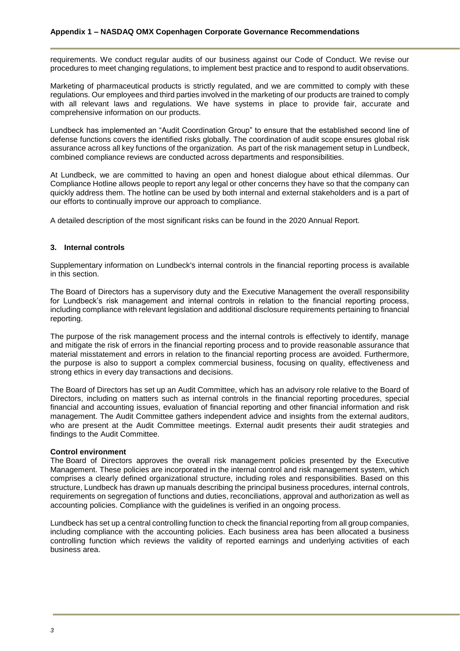requirements. We conduct regular audits of our business against our Code of Conduct. We revise our procedures to meet changing regulations, to implement best practice and to respond to audit observations.

Marketing of pharmaceutical products is strictly regulated, and we are committed to comply with these regulations. Our employees and third parties involved in the marketing of our products are trained to comply with all relevant laws and regulations. We have systems in place to provide fair, accurate and comprehensive information on our products.

Lundbeck has implemented an "Audit Coordination Group" to ensure that the established second line of defense functions covers the identified risks globally. The coordination of audit scope ensures global risk assurance across all key functions of the organization. As part of the risk management setup in Lundbeck, combined compliance reviews are conducted across departments and responsibilities.

At Lundbeck, we are committed to having an open and honest dialogue about ethical dilemmas. Our Compliance Hotline allows people to report any legal or other concerns they have so that the company can quickly address them. The hotline can be used by both internal and external stakeholders and is a part of our efforts to continually improve our approach to compliance.

A detailed description of the most significant risks can be found in the 2020 Annual Report.

## <span id="page-3-0"></span>**3. Internal controls**

Supplementary information on Lundbeck's internal controls in the financial reporting process is available in this section.

The Board of Directors has a supervisory duty and the Executive Management the overall responsibility for Lundbeck's risk management and internal controls in relation to the financial reporting process, including compliance with relevant legislation and additional disclosure requirements pertaining to financial reporting.

The purpose of the risk management process and the internal controls is effectively to identify, manage and mitigate the risk of errors in the financial reporting process and to provide reasonable assurance that material misstatement and errors in relation to the financial reporting process are avoided. Furthermore, the purpose is also to support a complex commercial business, focusing on quality, effectiveness and strong ethics in every day transactions and decisions.

The Board of Directors has set up an Audit Committee, which has an advisory role relative to the Board of Directors, including on matters such as internal controls in the financial reporting procedures, special financial and accounting issues, evaluation of financial reporting and other financial information and risk management. The Audit Committee gathers independent advice and insights from the external auditors, who are present at the Audit Committee meetings. External audit presents their audit strategies and findings to the Audit Committee.

#### **Control environment**

The Board of Directors approves the overall risk management policies presented by the Executive Management. These policies are incorporated in the internal control and risk management system, which comprises a clearly defined organizational structure, including roles and responsibilities. Based on this structure, Lundbeck has drawn up manuals describing the principal business procedures, internal controls, requirements on segregation of functions and duties, reconciliations, approval and authorization as well as accounting policies. Compliance with the guidelines is verified in an ongoing process.

Lundbeck has set up a central controlling function to check the financial reporting from all group companies, including compliance with the accounting policies. Each business area has been allocated a business controlling function which reviews the validity of reported earnings and underlying activities of each business area.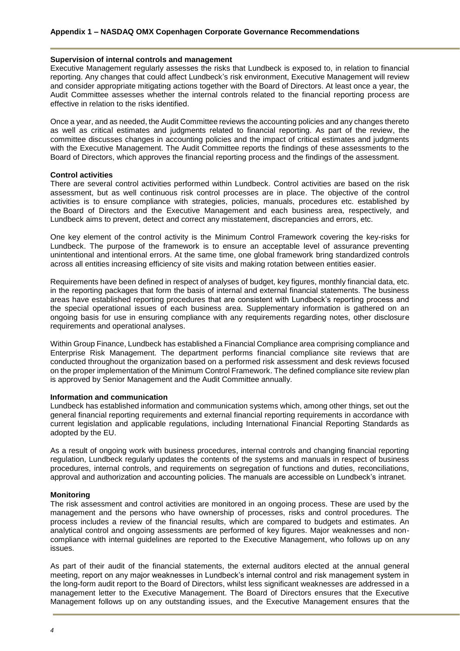#### **Supervision of internal controls and management**

Executive Management regularly assesses the risks that Lundbeck is exposed to, in relation to financial reporting. Any changes that could affect Lundbeck's risk environment, Executive Management will review and consider appropriate mitigating actions together with the Board of Directors. At least once a year, the Audit Committee assesses whether the internal controls related to the financial reporting process are effective in relation to the risks identified.

Once a year, and as needed, the Audit Committee reviews the accounting policies and any changes thereto as well as critical estimates and judgments related to financial reporting. As part of the review, the committee discusses changes in accounting policies and the impact of critical estimates and judgments with the Executive Management. The Audit Committee reports the findings of these assessments to the Board of Directors, which approves the financial reporting process and the findings of the assessment.

#### **Control activities**

There are several control activities performed within Lundbeck. Control activities are based on the risk assessment, but as well continuous risk control processes are in place. The objective of the control activities is to ensure compliance with strategies, policies, manuals, procedures etc. established by the Board of Directors and the Executive Management and each business area, respectively, and Lundbeck aims to prevent, detect and correct any misstatement, discrepancies and errors, etc.

One key element of the control activity is the Minimum Control Framework covering the key-risks for Lundbeck. The purpose of the framework is to ensure an acceptable level of assurance preventing unintentional and intentional errors. At the same time, one global framework bring standardized controls across all entities increasing efficiency of site visits and making rotation between entities easier.

Requirements have been defined in respect of analyses of budget, key figures, monthly financial data, etc. in the reporting packages that form the basis of internal and external financial statements. The business areas have established reporting procedures that are consistent with Lundbeck's reporting process and the special operational issues of each business area. Supplementary information is gathered on an ongoing basis for use in ensuring compliance with any requirements regarding notes, other disclosure requirements and operational analyses.

Within Group Finance, Lundbeck has established a Financial Compliance area comprising compliance and Enterprise Risk Management. The department performs financial compliance site reviews that are conducted throughout the organization based on a performed risk assessment and desk reviews focused on the proper implementation of the Minimum Control Framework. The defined compliance site review plan is approved by Senior Management and the Audit Committee annually.

#### **Information and communication**

Lundbeck has established information and communication systems which, among other things, set out the general financial reporting requirements and external financial reporting requirements in accordance with current legislation and applicable regulations, including International Financial Reporting Standards as adopted by the EU.

As a result of ongoing work with business procedures, internal controls and changing financial reporting regulation, Lundbeck regularly updates the contents of the systems and manuals in respect of business procedures, internal controls, and requirements on segregation of functions and duties, reconciliations, approval and authorization and accounting policies. The manuals are accessible on Lundbeck's intranet.

#### **Monitoring**

The risk assessment and control activities are monitored in an ongoing process. These are used by the management and the persons who have ownership of processes, risks and control procedures. The process includes a review of the financial results, which are compared to budgets and estimates. An analytical control and ongoing assessments are performed of key figures. Major weaknesses and noncompliance with internal guidelines are reported to the Executive Management, who follows up on any issues.

As part of their audit of the financial statements, the external auditors elected at the annual general meeting, report on any major weaknesses in Lundbeck's internal control and risk management system in the long-form audit report to the Board of Directors, whilst less significant weaknesses are addressed in a management letter to the Executive Management. The Board of Directors ensures that the Executive Management follows up on any outstanding issues, and the Executive Management ensures that the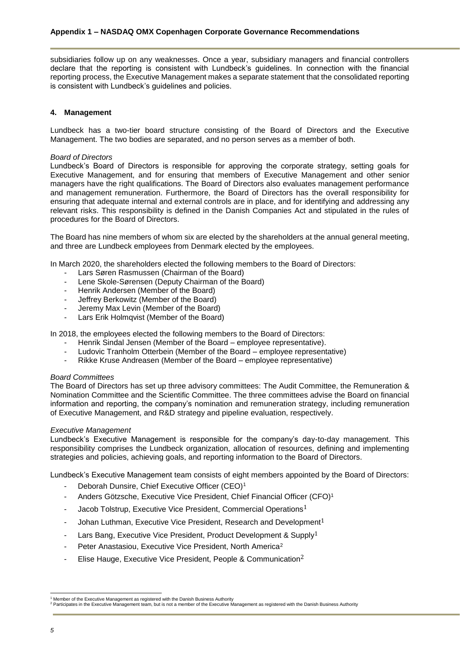subsidiaries follow up on any weaknesses. Once a year, subsidiary managers and financial controllers declare that the reporting is consistent with Lundbeck's guidelines. In connection with the financial reporting process, the Executive Management makes a separate statement that the consolidated reporting is consistent with Lundbeck's guidelines and policies.

# <span id="page-5-0"></span>**4. Management**

Lundbeck has a two-tier board structure consisting of the Board of Directors and the Executive Management. The two bodies are separated, and no person serves as a member of both.

#### *Board of Directors*

Lundbeck's Board of Directors is responsible for approving the corporate strategy, setting goals for Executive Management, and for ensuring that members of Executive Management and other senior managers have the right qualifications. The Board of Directors also evaluates management performance and management remuneration. Furthermore, the Board of Directors has the overall responsibility for ensuring that adequate internal and external controls are in place, and for identifying and addressing any relevant risks. This responsibility is defined in the Danish Companies Act and stipulated in the rules of procedures for the Board of Directors.

The Board has nine members of whom six are elected by the shareholders at the annual general meeting, and three are Lundbeck employees from Denmark elected by the employees.

In March 2020, the shareholders elected the following members to the Board of Directors:

- Lars Søren Rasmussen (Chairman of the Board)
- Lene Skole-Sørensen (Deputy Chairman of the Board)
- Henrik Andersen (Member of the Board)
- Jeffrey Berkowitz (Member of the Board)
- Jeremy Max Levin (Member of the Board)
- Lars Erik Holmqvist (Member of the Board)

In 2018, the employees elected the following members to the Board of Directors:

- Henrik Sindal Jensen (Member of the Board employee representative).
- Ludovic Tranholm Otterbein (Member of the Board employee representative)
- Rikke Kruse Andreasen (Member of the Board employee representative)

#### *Board Committees*

The Board of Directors has set up three advisory committees: The Audit Committee, the Remuneration & Nomination Committee and the Scientific Committee. The three committees advise the Board on financial information and reporting, the company's nomination and remuneration strategy, including remuneration of Executive Management, and R&D strategy and pipeline evaluation, respectively.

#### *Executive Management*

Lundbeck's Executive Management is responsible for the company's day-to-day management. This responsibility comprises the Lundbeck organization, allocation of resources, defining and implementing strategies and policies, achieving goals, and reporting information to the Board of Directors.

Lundbeck's Executive Management team consists of eight members appointed by the Board of Directors:

- Deborah Dunsire, Chief Executive Officer (CEO)<sup>1</sup>
- Anders Götzsche, Executive Vice President, Chief Financial Officer (CFO)<sup>1</sup>
- Jacob Tolstrup, Executive Vice President, Commercial Operations<sup>1</sup>
- Johan Luthman, Executive Vice President, Research and Development<sup>1</sup>
- Lars Bang, Executive Vice President, Product Development & Supply<sup>1</sup>
- <span id="page-5-1"></span>Peter Anastasiou, Executive Vice President, North America<sup>2</sup>
- Elise Hauge, Executive Vice President, People & Communication<sup>[2](#page-5-1)</sup>

l Member of the Executive Management as registered with the Danish Business Authority

<sup>&</sup>lt;sup>2</sup> Participates in the Executive Management team, but is not a member of the Executive Management as registered with the Danish Business Authority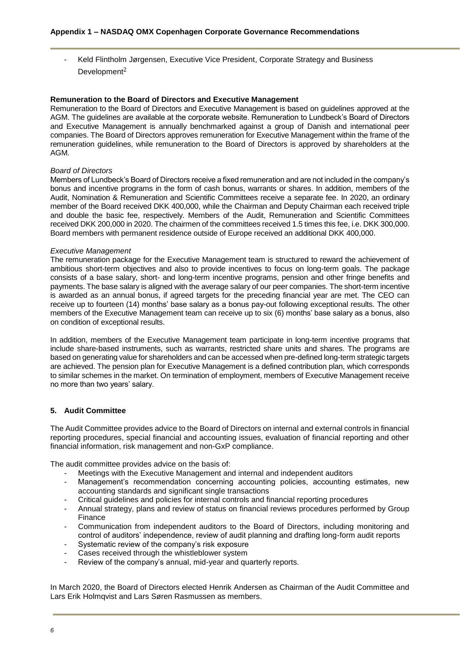- Keld Flintholm Jørgensen, Executive Vice President, Corporate Strategy and Business Development<sup>[2](#page-5-1)</sup>

#### **Remuneration to the Board of Directors and Executive Management**

Remuneration to the Board of Directors and Executive Management is based on guidelines approved at the AGM. The guidelines are available at the corporate website. Remuneration to Lundbeck's Board of Directors and Executive Management is annually benchmarked against a group of Danish and international peer companies. The Board of Directors approves remuneration for Executive Management within the frame of the remuneration guidelines, while remuneration to the Board of Directors is approved by shareholders at the AGM.

#### *Board of Directors*

Members of Lundbeck's Board of Directors receive a fixed remuneration and are not included in the company's bonus and incentive programs in the form of cash bonus, warrants or shares. In addition, members of the Audit, Nomination & Remuneration and Scientific Committees receive a separate fee. In 2020, an ordinary member of the Board received DKK 400,000, while the Chairman and Deputy Chairman each received triple and double the basic fee, respectively. Members of the Audit, Remuneration and Scientific Committees received DKK 200,000 in 2020. The chairmen of the committees received 1.5 times this fee, i.e. DKK 300,000. Board members with permanent residence outside of Europe received an additional DKK 400,000.

#### *Executive Management*

The remuneration package for the Executive Management team is structured to reward the achievement of ambitious short-term objectives and also to provide incentives to focus on long-term goals. The package consists of a base salary, short- and long-term incentive programs, pension and other fringe benefits and payments. The base salary is aligned with the average salary of our peer companies. The short-term incentive is awarded as an annual bonus, if agreed targets for the preceding financial year are met. The CEO can receive up to fourteen (14) months' base salary as a bonus pay-out following exceptional results. The other members of the Executive Management team can receive up to six (6) months' base salary as a bonus, also on condition of exceptional results.

In addition, members of the Executive Management team participate in long-term incentive programs that include share-based instruments, such as warrants, restricted share units and shares. The programs are based on generating value for shareholders and can be accessed when pre-defined long-term strategic targets are achieved. The pension plan for Executive Management is a defined contribution plan, which corresponds to similar schemes in the market. On termination of employment, members of Executive Management receive no more than two years' salary.

# <span id="page-6-0"></span>**5. Audit Committee**

The Audit Committee provides advice to the Board of Directors on internal and external controls in financial reporting procedures, special financial and accounting issues, evaluation of financial reporting and other financial information, risk management and non-GxP compliance.

The audit committee provides advice on the basis of:

- Meetings with the Executive Management and internal and independent auditors
- Management's recommendation concerning accounting policies, accounting estimates, new accounting standards and significant single transactions
- Critical guidelines and policies for internal controls and financial reporting procedures
- Annual strategy, plans and review of status on financial reviews procedures performed by Group Finance
- Communication from independent auditors to the Board of Directors, including monitoring and control of auditors' independence, review of audit planning and drafting long-form audit reports
- Systematic review of the company's risk exposure
- Cases received through the whistleblower system
- Review of the company's annual, mid-year and quarterly reports.

In March 2020, the Board of Directors elected Henrik Andersen as Chairman of the Audit Committee and Lars Erik Holmqvist and Lars Søren Rasmussen as members.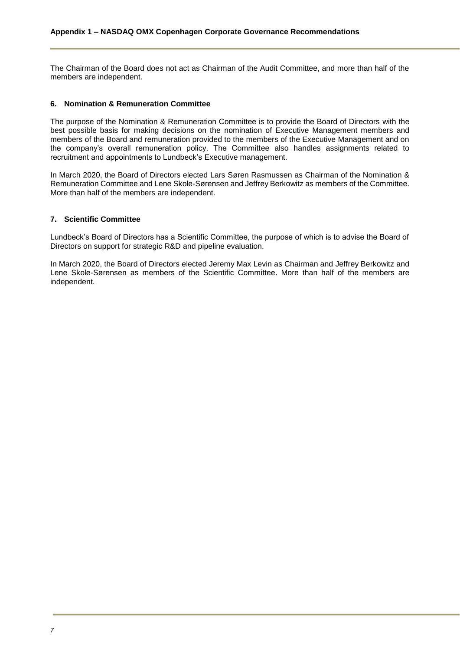The Chairman of the Board does not act as Chairman of the Audit Committee, and more than half of the members are independent.

## <span id="page-7-0"></span>**6. Nomination & Remuneration Committee**

The purpose of the Nomination & Remuneration Committee is to provide the Board of Directors with the best possible basis for making decisions on the nomination of Executive Management members and members of the Board and remuneration provided to the members of the Executive Management and on the company's overall remuneration policy. The Committee also handles assignments related to recruitment and appointments to Lundbeck's Executive management.

In March 2020, the Board of Directors elected Lars Søren Rasmussen as Chairman of the Nomination & Remuneration Committee and Lene Skole-Sørensen and Jeffrey Berkowitz as members of the Committee. More than half of the members are independent.

## <span id="page-7-1"></span>**7. Scientific Committee**

Lundbeck's Board of Directors has a Scientific Committee, the purpose of which is to advise the Board of Directors on support for strategic R&D and pipeline evaluation.

In March 2020, the Board of Directors elected Jeremy Max Levin as Chairman and Jeffrey Berkowitz and Lene Skole-Sørensen as members of the Scientific Committee. More than half of the members are independent.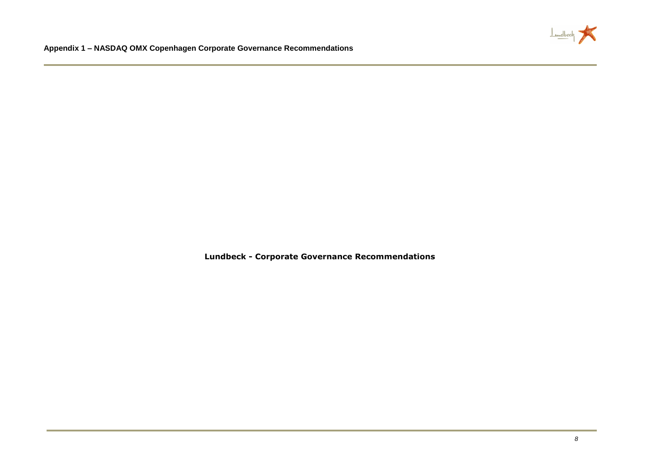

**Lundbeck - Corporate Governance Recommendations**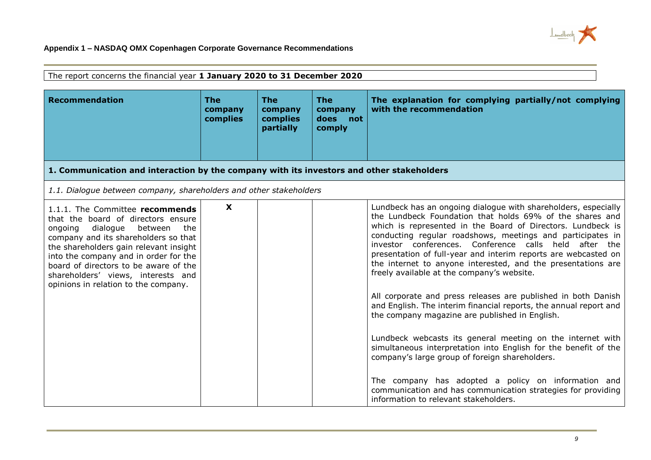

| The report concerns the financial year 1 January 2020 to 31 December 2020                                                                                                                                                                                                                                                                                        |                                   |                                                |                                                |                                                                                                                                                                                                                                                                                                                                                                                                                                                                                                                                                                                                                                                                                                                                                                                                                                                                                                                                                                                                                                             |  |  |
|------------------------------------------------------------------------------------------------------------------------------------------------------------------------------------------------------------------------------------------------------------------------------------------------------------------------------------------------------------------|-----------------------------------|------------------------------------------------|------------------------------------------------|---------------------------------------------------------------------------------------------------------------------------------------------------------------------------------------------------------------------------------------------------------------------------------------------------------------------------------------------------------------------------------------------------------------------------------------------------------------------------------------------------------------------------------------------------------------------------------------------------------------------------------------------------------------------------------------------------------------------------------------------------------------------------------------------------------------------------------------------------------------------------------------------------------------------------------------------------------------------------------------------------------------------------------------------|--|--|
| <b>Recommendation</b>                                                                                                                                                                                                                                                                                                                                            | <b>The</b><br>company<br>complies | <b>The</b><br>company<br>complies<br>partially | <b>The</b><br>company<br>does<br>not<br>comply | The explanation for complying partially/not complying<br>with the recommendation                                                                                                                                                                                                                                                                                                                                                                                                                                                                                                                                                                                                                                                                                                                                                                                                                                                                                                                                                            |  |  |
| 1. Communication and interaction by the company with its investors and other stakeholders                                                                                                                                                                                                                                                                        |                                   |                                                |                                                |                                                                                                                                                                                                                                                                                                                                                                                                                                                                                                                                                                                                                                                                                                                                                                                                                                                                                                                                                                                                                                             |  |  |
| 1.1. Dialogue between company, shareholders and other stakeholders                                                                                                                                                                                                                                                                                               |                                   |                                                |                                                |                                                                                                                                                                                                                                                                                                                                                                                                                                                                                                                                                                                                                                                                                                                                                                                                                                                                                                                                                                                                                                             |  |  |
| 1.1.1. The Committee recommends<br>that the board of directors ensure<br>dialogue<br>between<br>ongoing<br>the<br>company and its shareholders so that<br>the shareholders gain relevant insight<br>into the company and in order for the<br>board of directors to be aware of the<br>shareholders' views, interests and<br>opinions in relation to the company. | X                                 |                                                |                                                | Lundbeck has an ongoing dialogue with shareholders, especially<br>the Lundbeck Foundation that holds 69% of the shares and<br>which is represented in the Board of Directors. Lundbeck is<br>conducting regular roadshows, meetings and participates in<br>investor conferences. Conference calls held after the<br>presentation of full-year and interim reports are webcasted on<br>the internet to anyone interested, and the presentations are<br>freely available at the company's website.<br>All corporate and press releases are published in both Danish<br>and English. The interim financial reports, the annual report and<br>the company magazine are published in English.<br>Lundbeck webcasts its general meeting on the internet with<br>simultaneous interpretation into English for the benefit of the<br>company's large group of foreign shareholders.<br>The company has adopted a policy on information and<br>communication and has communication strategies for providing<br>information to relevant stakeholders. |  |  |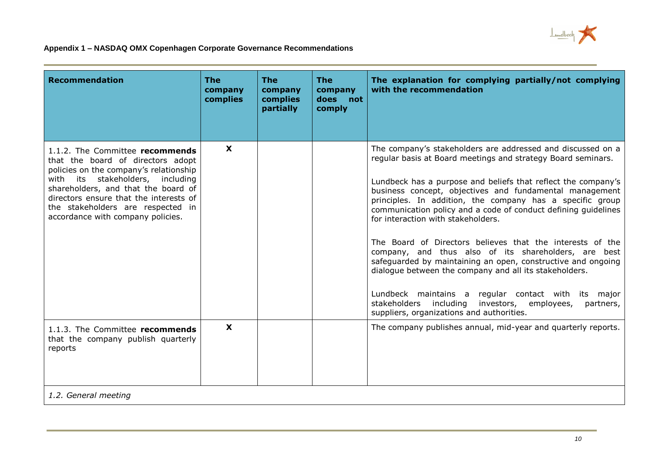

| <b>Recommendation</b>                                                                                                                                                                                                                                                                                         | The<br>company<br>complies | <b>The</b><br>company<br>complies<br>partially | <b>The</b><br>company<br>does<br>not<br>comply | The explanation for complying partially/not complying<br>with the recommendation                                                                                                                                                                                                                                                                                                                                                                                                                                                                                                                                                                                                                                                                                                                                                                |
|---------------------------------------------------------------------------------------------------------------------------------------------------------------------------------------------------------------------------------------------------------------------------------------------------------------|----------------------------|------------------------------------------------|------------------------------------------------|-------------------------------------------------------------------------------------------------------------------------------------------------------------------------------------------------------------------------------------------------------------------------------------------------------------------------------------------------------------------------------------------------------------------------------------------------------------------------------------------------------------------------------------------------------------------------------------------------------------------------------------------------------------------------------------------------------------------------------------------------------------------------------------------------------------------------------------------------|
| 1.1.2. The Committee recommends<br>that the board of directors adopt<br>policies on the company's relationship<br>with its stakeholders, including<br>shareholders, and that the board of<br>directors ensure that the interests of<br>the stakeholders are respected in<br>accordance with company policies. | X                          |                                                |                                                | The company's stakeholders are addressed and discussed on a<br>regular basis at Board meetings and strategy Board seminars.<br>Lundbeck has a purpose and beliefs that reflect the company's<br>business concept, objectives and fundamental management<br>principles. In addition, the company has a specific group<br>communication policy and a code of conduct defining guidelines<br>for interaction with stakeholders.<br>The Board of Directors believes that the interests of the<br>company, and thus also of its shareholders, are best<br>safeguarded by maintaining an open, constructive and ongoing<br>dialogue between the company and all its stakeholders.<br>Lundbeck maintains a regular contact with its major<br>stakeholders including<br>investors, employees,<br>partners,<br>suppliers, organizations and authorities. |
| 1.1.3. The Committee recommends<br>that the company publish quarterly<br>reports<br>1.2. General meeting                                                                                                                                                                                                      | $\mathbf x$                |                                                |                                                | The company publishes annual, mid-year and quarterly reports.                                                                                                                                                                                                                                                                                                                                                                                                                                                                                                                                                                                                                                                                                                                                                                                   |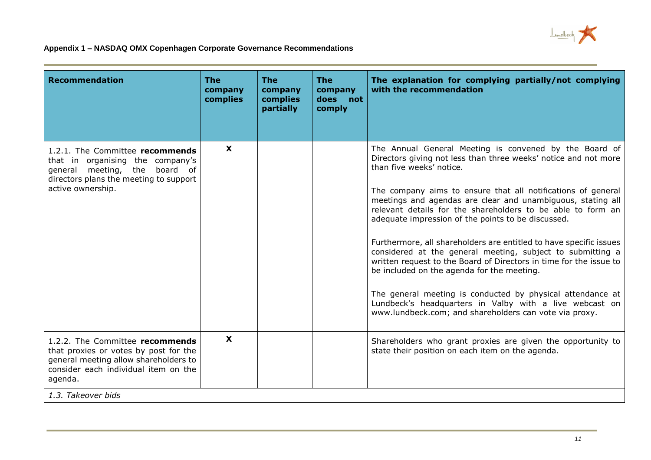

| <b>Recommendation</b>                                                                                                                                                                      | <b>The</b><br>company<br>complies | <b>The</b><br>company<br>complies<br>partially | <b>The</b><br>company<br>does<br>not<br>comply | The explanation for complying partially/not complying<br>with the recommendation                                                                                                                                                                                                                                                                                                                                                                                                                                                                                                                                                                                                                                                                                                                                                                     |
|--------------------------------------------------------------------------------------------------------------------------------------------------------------------------------------------|-----------------------------------|------------------------------------------------|------------------------------------------------|------------------------------------------------------------------------------------------------------------------------------------------------------------------------------------------------------------------------------------------------------------------------------------------------------------------------------------------------------------------------------------------------------------------------------------------------------------------------------------------------------------------------------------------------------------------------------------------------------------------------------------------------------------------------------------------------------------------------------------------------------------------------------------------------------------------------------------------------------|
| 1.2.1. The Committee recommends<br>that in organising the company's<br>general meeting, the board of<br>directors plans the meeting to support<br>active ownership.                        | X                                 |                                                |                                                | The Annual General Meeting is convened by the Board of<br>Directors giving not less than three weeks' notice and not more<br>than five weeks' notice.<br>The company aims to ensure that all notifications of general<br>meetings and agendas are clear and unambiguous, stating all<br>relevant details for the shareholders to be able to form an<br>adequate impression of the points to be discussed.<br>Furthermore, all shareholders are entitled to have specific issues<br>considered at the general meeting, subject to submitting a<br>written request to the Board of Directors in time for the issue to<br>be included on the agenda for the meeting.<br>The general meeting is conducted by physical attendance at<br>Lundbeck's headquarters in Valby with a live webcast on<br>www.lundbeck.com; and shareholders can vote via proxy. |
| 1.2.2. The Committee recommends<br>that proxies or votes by post for the<br>general meeting allow shareholders to<br>consider each individual item on the<br>agenda.<br>1.3. Takeover bids | $\mathbf{x}$                      |                                                |                                                | Shareholders who grant proxies are given the opportunity to<br>state their position on each item on the agenda.                                                                                                                                                                                                                                                                                                                                                                                                                                                                                                                                                                                                                                                                                                                                      |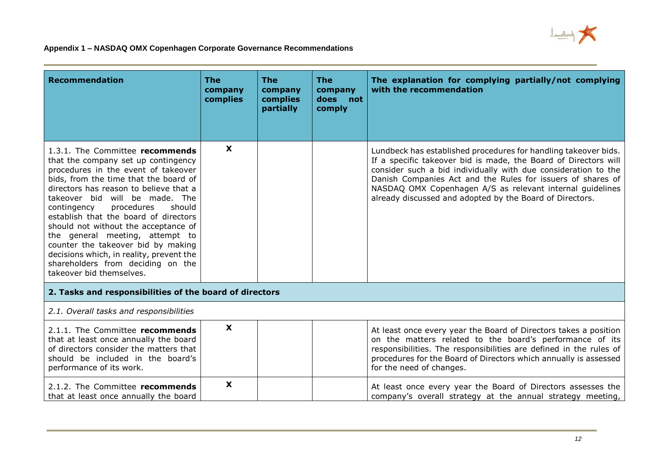

| Recommendation                                                                                                                                                                                                                                                                                                                                                                                                                                                                                                                                   | <b>The</b><br>company<br>complies | <b>The</b><br>company<br>complies<br>partially | <b>The</b><br>company<br>does<br>not<br>comply | The explanation for complying partially/not complying<br>with the recommendation                                                                                                                                                                                                                                                                                                             |
|--------------------------------------------------------------------------------------------------------------------------------------------------------------------------------------------------------------------------------------------------------------------------------------------------------------------------------------------------------------------------------------------------------------------------------------------------------------------------------------------------------------------------------------------------|-----------------------------------|------------------------------------------------|------------------------------------------------|----------------------------------------------------------------------------------------------------------------------------------------------------------------------------------------------------------------------------------------------------------------------------------------------------------------------------------------------------------------------------------------------|
| 1.3.1. The Committee recommends<br>that the company set up contingency<br>procedures in the event of takeover<br>bids, from the time that the board of<br>directors has reason to believe that a<br>takeover bid will be made. The<br>procedures<br>should<br>contingency<br>establish that the board of directors<br>should not without the acceptance of<br>the general meeting, attempt to<br>counter the takeover bid by making<br>decisions which, in reality, prevent the<br>shareholders from deciding on the<br>takeover bid themselves. | $\boldsymbol{\mathsf{X}}$         |                                                |                                                | Lundbeck has established procedures for handling takeover bids.<br>If a specific takeover bid is made, the Board of Directors will<br>consider such a bid individually with due consideration to the<br>Danish Companies Act and the Rules for issuers of shares of<br>NASDAQ OMX Copenhagen A/S as relevant internal guidelines<br>already discussed and adopted by the Board of Directors. |
| 2. Tasks and responsibilities of the board of directors                                                                                                                                                                                                                                                                                                                                                                                                                                                                                          |                                   |                                                |                                                |                                                                                                                                                                                                                                                                                                                                                                                              |
| 2.1. Overall tasks and responsibilities                                                                                                                                                                                                                                                                                                                                                                                                                                                                                                          |                                   |                                                |                                                |                                                                                                                                                                                                                                                                                                                                                                                              |
| 2.1.1. The Committee recommends<br>that at least once annually the board<br>of directors consider the matters that<br>should be included in the board's<br>performance of its work.                                                                                                                                                                                                                                                                                                                                                              | X                                 |                                                |                                                | At least once every year the Board of Directors takes a position<br>on the matters related to the board's performance of its<br>responsibilities. The responsibilities are defined in the rules of<br>procedures for the Board of Directors which annually is assessed<br>for the need of changes.                                                                                           |
| 2.1.2. The Committee recommends<br>that at least once annually the board                                                                                                                                                                                                                                                                                                                                                                                                                                                                         | X                                 |                                                |                                                | At least once every year the Board of Directors assesses the<br>company's overall strategy at the annual strategy meeting,                                                                                                                                                                                                                                                                   |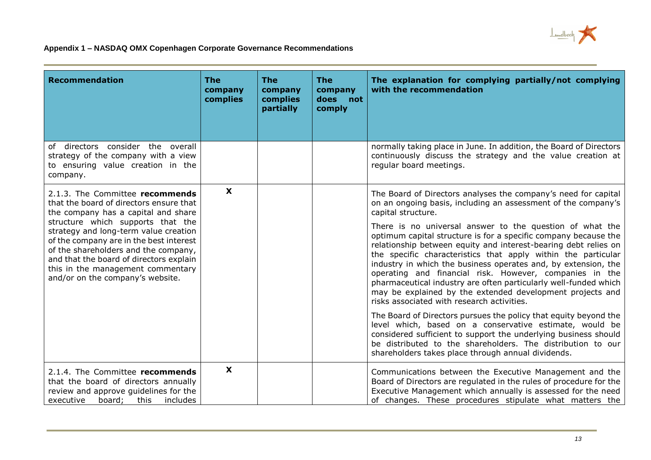

| <b>Recommendation</b>                                                                                                                                                                                                                                                             | <b>The</b><br>company<br>complies | <b>The</b><br>company<br>complies<br>partially | <b>The</b><br>company<br>does<br>not<br>comply | The explanation for complying partially/not complying<br>with the recommendation                                                                                                                                                                                                                                                                                                                                                                                                                                                                                            |
|-----------------------------------------------------------------------------------------------------------------------------------------------------------------------------------------------------------------------------------------------------------------------------------|-----------------------------------|------------------------------------------------|------------------------------------------------|-----------------------------------------------------------------------------------------------------------------------------------------------------------------------------------------------------------------------------------------------------------------------------------------------------------------------------------------------------------------------------------------------------------------------------------------------------------------------------------------------------------------------------------------------------------------------------|
| of directors consider the overall<br>strategy of the company with a view<br>to ensuring value creation in the<br>company.                                                                                                                                                         |                                   |                                                |                                                | normally taking place in June. In addition, the Board of Directors<br>continuously discuss the strategy and the value creation at<br>regular board meetings.                                                                                                                                                                                                                                                                                                                                                                                                                |
| 2.1.3. The Committee recommends<br>that the board of directors ensure that<br>the company has a capital and share                                                                                                                                                                 | $\boldsymbol{\mathsf{x}}$         |                                                |                                                | The Board of Directors analyses the company's need for capital<br>on an ongoing basis, including an assessment of the company's<br>capital structure.                                                                                                                                                                                                                                                                                                                                                                                                                       |
| structure which supports that the<br>strategy and long-term value creation<br>of the company are in the best interest<br>of the shareholders and the company,<br>and that the board of directors explain<br>this in the management commentary<br>and/or on the company's website. |                                   |                                                |                                                | There is no universal answer to the question of what the<br>optimum capital structure is for a specific company because the<br>relationship between equity and interest-bearing debt relies on<br>the specific characteristics that apply within the particular<br>industry in which the business operates and, by extension, the<br>operating and financial risk. However, companies in the<br>pharmaceutical industry are often particularly well-funded which<br>may be explained by the extended development projects and<br>risks associated with research activities. |
|                                                                                                                                                                                                                                                                                   |                                   |                                                |                                                | The Board of Directors pursues the policy that equity beyond the<br>level which, based on a conservative estimate, would be<br>considered sufficient to support the underlying business should<br>be distributed to the shareholders. The distribution to our<br>shareholders takes place through annual dividends.                                                                                                                                                                                                                                                         |
| 2.1.4. The Committee recommends<br>that the board of directors annually<br>review and approve guidelines for the<br>executive<br>board;<br>this<br>includes                                                                                                                       | $\boldsymbol{\mathsf{X}}$         |                                                |                                                | Communications between the Executive Management and the<br>Board of Directors are regulated in the rules of procedure for the<br>Executive Management which annually is assessed for the need<br>of changes. These procedures stipulate what matters the                                                                                                                                                                                                                                                                                                                    |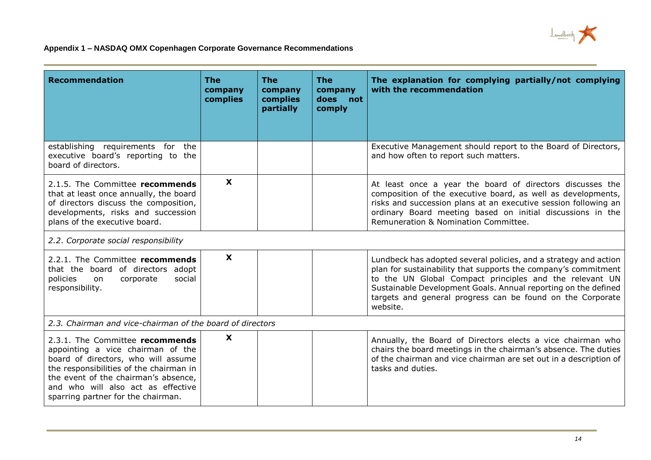

| <b>Recommendation</b>                                                                                                                                                                                                                                                      | <b>The</b><br>company<br>complies | <b>The</b><br>company<br>complies<br>partially | <b>The</b><br>company<br>does<br>not<br>comply | The explanation for complying partially/not complying<br>with the recommendation                                                                                                                                                                                                                                                          |
|----------------------------------------------------------------------------------------------------------------------------------------------------------------------------------------------------------------------------------------------------------------------------|-----------------------------------|------------------------------------------------|------------------------------------------------|-------------------------------------------------------------------------------------------------------------------------------------------------------------------------------------------------------------------------------------------------------------------------------------------------------------------------------------------|
| establishing requirements for the<br>executive board's reporting to the<br>board of directors.                                                                                                                                                                             |                                   |                                                |                                                | Executive Management should report to the Board of Directors,<br>and how often to report such matters.                                                                                                                                                                                                                                    |
| 2.1.5. The Committee recommends<br>that at least once annually, the board<br>of directors discuss the composition,<br>developments, risks and succession<br>plans of the executive board.                                                                                  | $\boldsymbol{\mathsf{X}}$         |                                                |                                                | At least once a year the board of directors discusses the<br>composition of the executive board, as well as developments,<br>risks and succession plans at an executive session following an<br>ordinary Board meeting based on initial discussions in the<br>Remuneration & Nomination Committee.                                        |
| 2.2. Corporate social responsibility                                                                                                                                                                                                                                       |                                   |                                                |                                                |                                                                                                                                                                                                                                                                                                                                           |
| 2.2.1. The Committee recommends<br>that the board of directors adopt<br>policies<br>corporate<br>social<br>on<br>responsibility.                                                                                                                                           | X                                 |                                                |                                                | Lundbeck has adopted several policies, and a strategy and action<br>plan for sustainability that supports the company's commitment<br>to the UN Global Compact principles and the relevant UN<br>Sustainable Development Goals. Annual reporting on the defined<br>targets and general progress can be found on the Corporate<br>website. |
| 2.3. Chairman and vice-chairman of the board of directors                                                                                                                                                                                                                  |                                   |                                                |                                                |                                                                                                                                                                                                                                                                                                                                           |
| 2.3.1. The Committee recommends<br>appointing a vice chairman of the<br>board of directors, who will assume<br>the responsibilities of the chairman in<br>the event of the chairman's absence,<br>and who will also act as effective<br>sparring partner for the chairman. | $\mathbf{x}$                      |                                                |                                                | Annually, the Board of Directors elects a vice chairman who<br>chairs the board meetings in the chairman's absence. The duties<br>of the chairman and vice chairman are set out in a description of<br>tasks and duties.                                                                                                                  |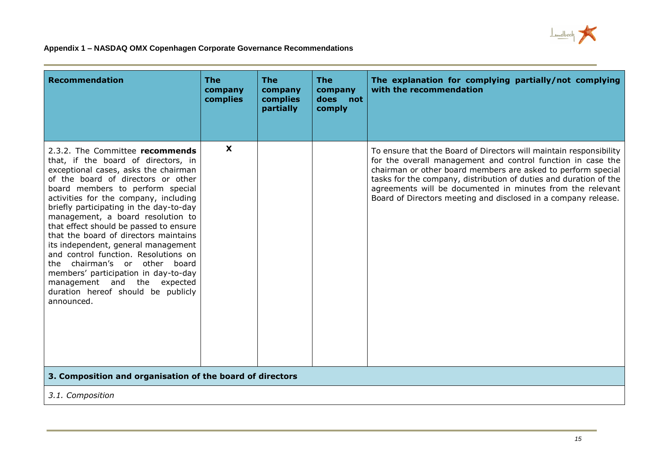

| <b>Recommendation</b>                                                                                                                                                                                                                                                                                                                                                                                                                                                                                                                                                                                                                              | <b>The</b><br>company<br>complies | <b>The</b><br>company<br>complies<br>partially | <b>The</b><br>company<br>not<br>does<br>comply | The explanation for complying partially/not complying<br>with the recommendation                                                                                                                                                                                                                                                                                                                       |
|----------------------------------------------------------------------------------------------------------------------------------------------------------------------------------------------------------------------------------------------------------------------------------------------------------------------------------------------------------------------------------------------------------------------------------------------------------------------------------------------------------------------------------------------------------------------------------------------------------------------------------------------------|-----------------------------------|------------------------------------------------|------------------------------------------------|--------------------------------------------------------------------------------------------------------------------------------------------------------------------------------------------------------------------------------------------------------------------------------------------------------------------------------------------------------------------------------------------------------|
| 2.3.2. The Committee recommends<br>that, if the board of directors, in<br>exceptional cases, asks the chairman<br>of the board of directors or other<br>board members to perform special<br>activities for the company, including<br>briefly participating in the day-to-day<br>management, a board resolution to<br>that effect should be passed to ensure<br>that the board of directors maintains<br>its independent, general management<br>and control function. Resolutions on<br>chairman's or other board<br>the<br>members' participation in day-to-day<br>management and the expected<br>duration hereof should be publicly<br>announced. | X                                 |                                                |                                                | To ensure that the Board of Directors will maintain responsibility<br>for the overall management and control function in case the<br>chairman or other board members are asked to perform special<br>tasks for the company, distribution of duties and duration of the<br>agreements will be documented in minutes from the relevant<br>Board of Directors meeting and disclosed in a company release. |
| 3. Composition and organisation of the board of directors                                                                                                                                                                                                                                                                                                                                                                                                                                                                                                                                                                                          |                                   |                                                |                                                |                                                                                                                                                                                                                                                                                                                                                                                                        |

*3.1. Composition*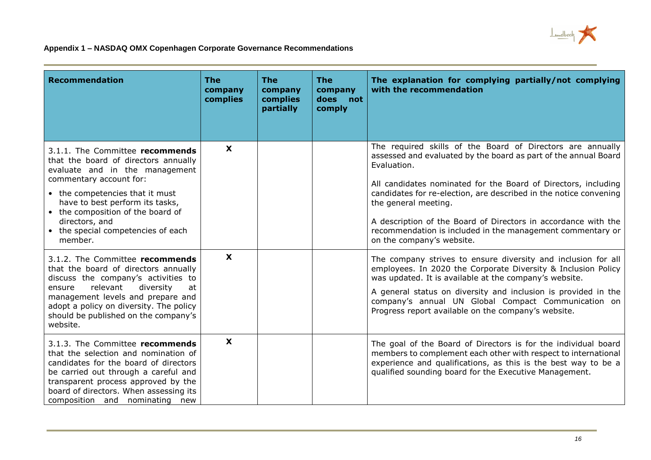

| <b>Recommendation</b>                                                                                                                                                                                                                                                                                              | <b>The</b><br>company<br>complies | <b>The</b><br>company<br>complies<br>partially | <b>The</b><br>company<br>does<br>not<br>comply | The explanation for complying partially/not complying<br>with the recommendation                                                                                                                                                                                                                                                                                                                                                                                         |
|--------------------------------------------------------------------------------------------------------------------------------------------------------------------------------------------------------------------------------------------------------------------------------------------------------------------|-----------------------------------|------------------------------------------------|------------------------------------------------|--------------------------------------------------------------------------------------------------------------------------------------------------------------------------------------------------------------------------------------------------------------------------------------------------------------------------------------------------------------------------------------------------------------------------------------------------------------------------|
| 3.1.1. The Committee recommends<br>that the board of directors annually<br>evaluate and in the management<br>commentary account for:<br>• the competencies that it must<br>have to best perform its tasks,<br>• the composition of the board of<br>directors, and<br>• the special competencies of each<br>member. | $\mathbf{x}$                      |                                                |                                                | The required skills of the Board of Directors are annually<br>assessed and evaluated by the board as part of the annual Board<br>Evaluation.<br>All candidates nominated for the Board of Directors, including<br>candidates for re-election, are described in the notice convening<br>the general meeting.<br>A description of the Board of Directors in accordance with the<br>recommendation is included in the management commentary or<br>on the company's website. |
| 3.1.2. The Committee recommends<br>that the board of directors annually<br>discuss the company's activities to<br>relevant<br>diversity<br>at<br>ensure<br>management levels and prepare and<br>adopt a policy on diversity. The policy<br>should be published on the company's<br>website.                        | $\mathbf x$                       |                                                |                                                | The company strives to ensure diversity and inclusion for all<br>employees. In 2020 the Corporate Diversity & Inclusion Policy<br>was updated. It is available at the company's website.<br>A general status on diversity and inclusion is provided in the<br>company's annual UN Global Compact Communication on<br>Progress report available on the company's website.                                                                                                 |
| 3.1.3. The Committee recommends<br>that the selection and nomination of<br>candidates for the board of directors<br>be carried out through a careful and<br>transparent process approved by the<br>board of directors. When assessing its<br>composition and nominating new                                        | $\boldsymbol{\mathsf{x}}$         |                                                |                                                | The goal of the Board of Directors is for the individual board<br>members to complement each other with respect to international<br>experience and qualifications, as this is the best way to be a<br>qualified sounding board for the Executive Management.                                                                                                                                                                                                             |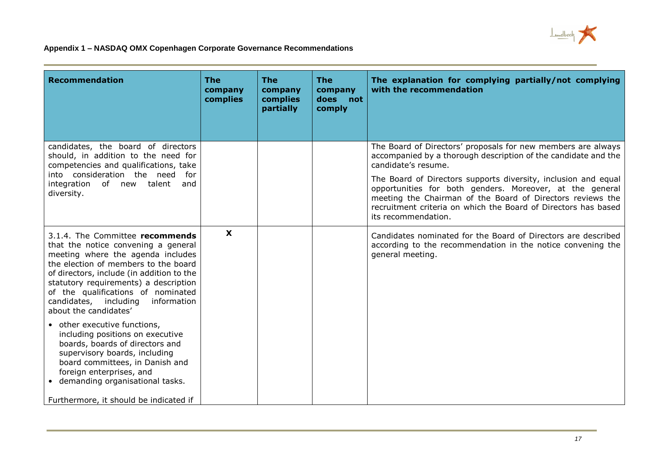

| <b>Recommendation</b>                                                                                                                                                                                                                                                                                                                            | The<br>company<br>complies | <b>The</b><br>company<br>complies<br>partially | <b>The</b><br>company<br>not<br>does<br>comply | The explanation for complying partially/not complying<br>with the recommendation                                                                                                                                                                                                  |
|--------------------------------------------------------------------------------------------------------------------------------------------------------------------------------------------------------------------------------------------------------------------------------------------------------------------------------------------------|----------------------------|------------------------------------------------|------------------------------------------------|-----------------------------------------------------------------------------------------------------------------------------------------------------------------------------------------------------------------------------------------------------------------------------------|
| candidates, the board of directors<br>should, in addition to the need for<br>competencies and qualifications, take                                                                                                                                                                                                                               |                            |                                                |                                                | The Board of Directors' proposals for new members are always<br>accompanied by a thorough description of the candidate and the<br>candidate's resume.                                                                                                                             |
| into consideration the need<br>for<br>integration of new talent<br>and<br>diversity.                                                                                                                                                                                                                                                             |                            |                                                |                                                | The Board of Directors supports diversity, inclusion and equal<br>opportunities for both genders. Moreover, at the general<br>meeting the Chairman of the Board of Directors reviews the<br>recruitment criteria on which the Board of Directors has based<br>its recommendation. |
| 3.1.4. The Committee recommends<br>that the notice convening a general<br>meeting where the agenda includes<br>the election of members to the board<br>of directors, include (in addition to the<br>statutory requirements) a description<br>of the qualifications of nominated<br>candidates, including<br>information<br>about the candidates' | $\mathbf x$                |                                                |                                                | Candidates nominated for the Board of Directors are described<br>according to the recommendation in the notice convening the<br>general meeting.                                                                                                                                  |
| • other executive functions,<br>including positions on executive<br>boards, boards of directors and<br>supervisory boards, including<br>board committees, in Danish and<br>foreign enterprises, and<br>• demanding organisational tasks.<br>Furthermore, it should be indicated if                                                               |                            |                                                |                                                |                                                                                                                                                                                                                                                                                   |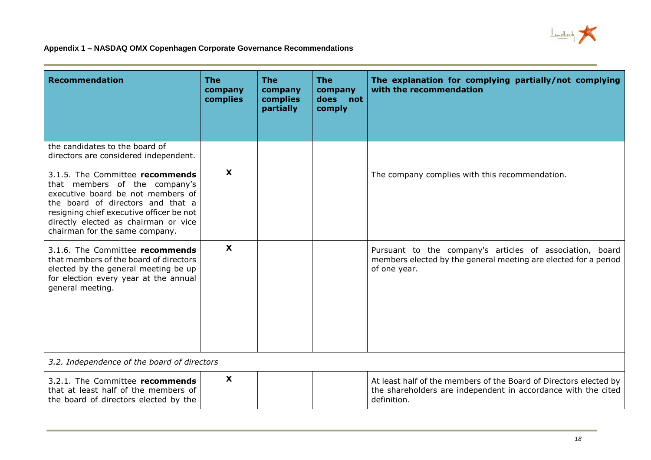

| <b>Recommendation</b>                                                                                                                                                                                                                                            | <b>The</b><br>company<br>complies | <b>The</b><br>company<br>complies<br>partially | <b>The</b><br>company<br>does<br>not<br>comply | The explanation for complying partially/not complying<br>with the recommendation                                                                  |
|------------------------------------------------------------------------------------------------------------------------------------------------------------------------------------------------------------------------------------------------------------------|-----------------------------------|------------------------------------------------|------------------------------------------------|---------------------------------------------------------------------------------------------------------------------------------------------------|
| the candidates to the board of<br>directors are considered independent.                                                                                                                                                                                          |                                   |                                                |                                                |                                                                                                                                                   |
| 3.1.5. The Committee recommends<br>that members of the company's<br>executive board be not members of<br>the board of directors and that a<br>resigning chief executive officer be not<br>directly elected as chairman or vice<br>chairman for the same company. | $\mathbf{x}$                      |                                                |                                                | The company complies with this recommendation.                                                                                                    |
| 3.1.6. The Committee recommends<br>that members of the board of directors<br>elected by the general meeting be up<br>for election every year at the annual<br>general meeting.                                                                                   | $\boldsymbol{\mathsf{x}}$         |                                                |                                                | Pursuant to the company's articles of association, board<br>members elected by the general meeting are elected for a period<br>of one year.       |
| 3.2. Independence of the board of directors                                                                                                                                                                                                                      |                                   |                                                |                                                |                                                                                                                                                   |
| 3.2.1. The Committee recommends<br>that at least half of the members of<br>the board of directors elected by the                                                                                                                                                 | $\mathbf{x}$                      |                                                |                                                | At least half of the members of the Board of Directors elected by<br>the shareholders are independent in accordance with the cited<br>definition. |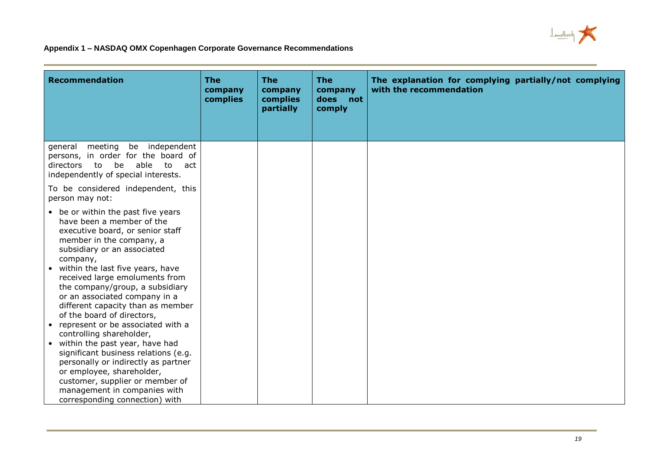

| <b>Recommendation</b>                                                                                                                                                                                                                                                                                                                                                                                                                                        | <b>The</b><br>company<br>complies | <b>The</b><br>company<br>complies<br>partially | <b>The</b><br>company<br>does<br>not<br>comply | The explanation for complying partially/not complying<br>with the recommendation |
|--------------------------------------------------------------------------------------------------------------------------------------------------------------------------------------------------------------------------------------------------------------------------------------------------------------------------------------------------------------------------------------------------------------------------------------------------------------|-----------------------------------|------------------------------------------------|------------------------------------------------|----------------------------------------------------------------------------------|
| meeting be independent<br>general<br>persons, in order for the board of<br>be able<br>to<br>to act<br>directors<br>independently of special interests.<br>To be considered independent, this                                                                                                                                                                                                                                                                 |                                   |                                                |                                                |                                                                                  |
| person may not:                                                                                                                                                                                                                                                                                                                                                                                                                                              |                                   |                                                |                                                |                                                                                  |
| • be or within the past five years<br>have been a member of the<br>executive board, or senior staff<br>member in the company, a<br>subsidiary or an associated<br>company,<br>• within the last five years, have<br>received large emoluments from<br>the company/group, a subsidiary<br>or an associated company in a<br>different capacity than as member<br>of the board of directors,<br>• represent or be associated with a<br>controlling shareholder, |                                   |                                                |                                                |                                                                                  |
| • within the past year, have had<br>significant business relations (e.g.<br>personally or indirectly as partner                                                                                                                                                                                                                                                                                                                                              |                                   |                                                |                                                |                                                                                  |
| or employee, shareholder,                                                                                                                                                                                                                                                                                                                                                                                                                                    |                                   |                                                |                                                |                                                                                  |
| customer, supplier or member of                                                                                                                                                                                                                                                                                                                                                                                                                              |                                   |                                                |                                                |                                                                                  |
| management in companies with<br>corresponding connection) with                                                                                                                                                                                                                                                                                                                                                                                               |                                   |                                                |                                                |                                                                                  |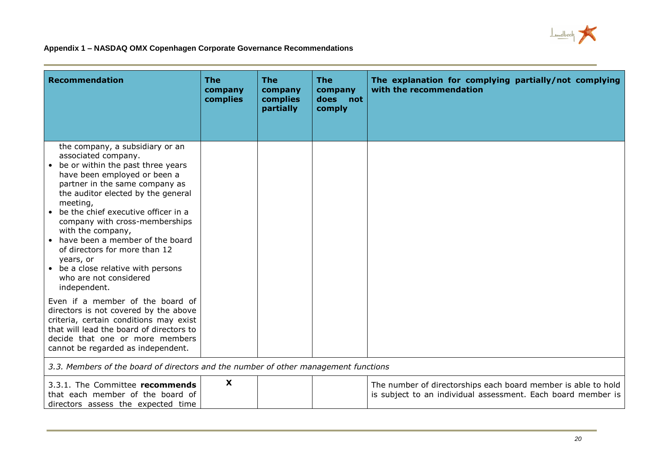

| <b>Recommendation</b>                                                                                                                                                                                                                                                                                                                                                                                                                                                                                                  | <b>The</b><br>company<br>complies | <b>The</b><br>company<br>complies<br>partially | <b>The</b><br>company<br>does<br>not<br>comply | The explanation for complying partially/not complying<br>with the recommendation                                              |
|------------------------------------------------------------------------------------------------------------------------------------------------------------------------------------------------------------------------------------------------------------------------------------------------------------------------------------------------------------------------------------------------------------------------------------------------------------------------------------------------------------------------|-----------------------------------|------------------------------------------------|------------------------------------------------|-------------------------------------------------------------------------------------------------------------------------------|
| the company, a subsidiary or an<br>associated company.<br>• be or within the past three years<br>have been employed or been a<br>partner in the same company as<br>the auditor elected by the general<br>meeting,<br>be the chief executive officer in a<br>company with cross-memberships<br>with the company,<br>• have been a member of the board<br>of directors for more than 12<br>years, or<br>• be a close relative with persons<br>who are not considered<br>independent.<br>Even if a member of the board of |                                   |                                                |                                                |                                                                                                                               |
| directors is not covered by the above<br>criteria, certain conditions may exist<br>that will lead the board of directors to<br>decide that one or more members<br>cannot be regarded as independent.                                                                                                                                                                                                                                                                                                                   |                                   |                                                |                                                |                                                                                                                               |
| 3.3. Members of the board of directors and the number of other management functions                                                                                                                                                                                                                                                                                                                                                                                                                                    |                                   |                                                |                                                |                                                                                                                               |
| 3.3.1. The Committee recommends<br>that each member of the board of<br>directors assess the expected time                                                                                                                                                                                                                                                                                                                                                                                                              | X                                 |                                                |                                                | The number of directorships each board member is able to hold<br>is subject to an individual assessment. Each board member is |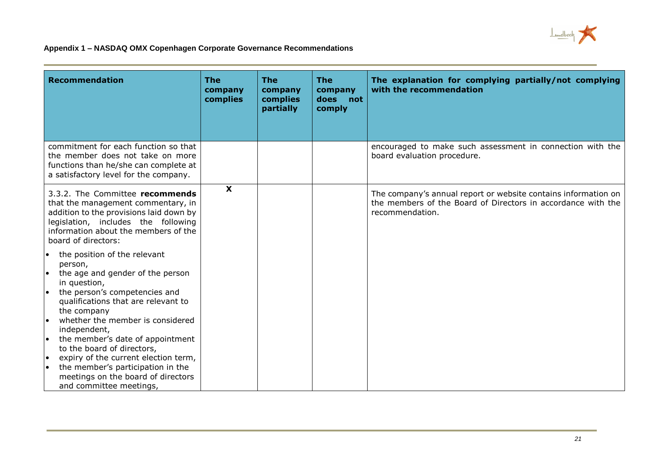

| <b>Recommendation</b>                                                                                                                                                                                                                                                                                                                                                                                                                                                                                    | <b>The</b><br>company<br>complies | <b>The</b><br>company<br>complies<br>partially | <b>The</b><br>company<br>does<br>not<br>comply | The explanation for complying partially/not complying<br>with the recommendation                                                                  |
|----------------------------------------------------------------------------------------------------------------------------------------------------------------------------------------------------------------------------------------------------------------------------------------------------------------------------------------------------------------------------------------------------------------------------------------------------------------------------------------------------------|-----------------------------------|------------------------------------------------|------------------------------------------------|---------------------------------------------------------------------------------------------------------------------------------------------------|
| commitment for each function so that<br>the member does not take on more<br>functions than he/she can complete at<br>a satisfactory level for the company.                                                                                                                                                                                                                                                                                                                                               |                                   |                                                |                                                | encouraged to make such assessment in connection with the<br>board evaluation procedure.                                                          |
| 3.3.2. The Committee recommends<br>that the management commentary, in<br>addition to the provisions laid down by<br>legislation, includes the following<br>information about the members of the<br>board of directors:                                                                                                                                                                                                                                                                                   | $\boldsymbol{\mathsf{x}}$         |                                                |                                                | The company's annual report or website contains information on<br>the members of the Board of Directors in accordance with the<br>recommendation. |
| the position of the relevant<br>$\bullet$<br>person,<br>the age and gender of the person<br>$\bullet$<br>in question,<br>the person's competencies and<br>qualifications that are relevant to<br>the company<br>whether the member is considered<br>I۰<br>independent,<br>the member's date of appointment<br>١o<br>to the board of directors,<br>expiry of the current election term,<br>I۰<br>the member's participation in the<br>I۰<br>meetings on the board of directors<br>and committee meetings, |                                   |                                                |                                                |                                                                                                                                                   |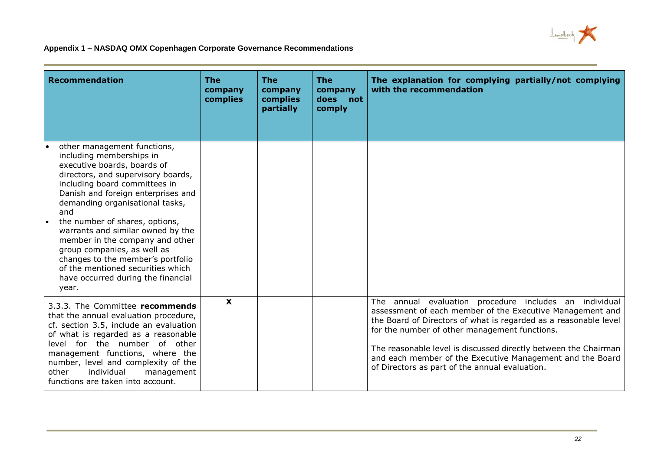

| <b>Recommendation</b>                                                                                                                                                                                                                                                                                                                                                                                                                                                                                                 | <b>The</b><br>company<br>complies | <b>The</b><br>company<br>complies<br>partially | <b>The</b><br>company<br>does<br>not<br>comply | The explanation for complying partially/not complying<br>with the recommendation                                                                                                                                                                                                                                                                                                                                           |
|-----------------------------------------------------------------------------------------------------------------------------------------------------------------------------------------------------------------------------------------------------------------------------------------------------------------------------------------------------------------------------------------------------------------------------------------------------------------------------------------------------------------------|-----------------------------------|------------------------------------------------|------------------------------------------------|----------------------------------------------------------------------------------------------------------------------------------------------------------------------------------------------------------------------------------------------------------------------------------------------------------------------------------------------------------------------------------------------------------------------------|
| other management functions,<br>including memberships in<br>executive boards, boards of<br>directors, and supervisory boards,<br>including board committees in<br>Danish and foreign enterprises and<br>demanding organisational tasks,<br>and<br>the number of shares, options,<br>l.<br>warrants and similar owned by the<br>member in the company and other<br>group companies, as well as<br>changes to the member's portfolio<br>of the mentioned securities which<br>have occurred during the financial<br>year. |                                   |                                                |                                                |                                                                                                                                                                                                                                                                                                                                                                                                                            |
| 3.3.3. The Committee recommends<br>that the annual evaluation procedure,<br>cf. section 3.5, include an evaluation<br>of what is regarded as a reasonable<br>level for the number<br>of other<br>management functions, where the<br>number, level and complexity of the<br>individual<br>other<br>management<br>functions are taken into account.                                                                                                                                                                     | $\boldsymbol{\mathsf{X}}$         |                                                |                                                | The annual evaluation procedure includes an individual<br>assessment of each member of the Executive Management and<br>the Board of Directors of what is regarded as a reasonable level<br>for the number of other management functions.<br>The reasonable level is discussed directly between the Chairman<br>and each member of the Executive Management and the Board<br>of Directors as part of the annual evaluation. |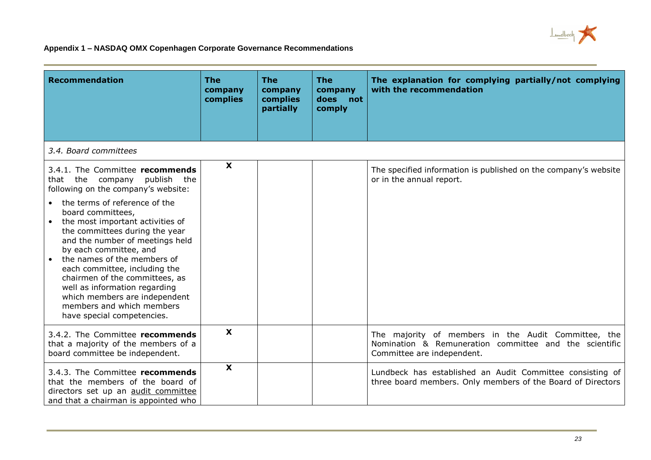

| <b>Recommendation</b>                                                                                                                                                                                                                                                                                                                                                                                                                                                                                                          | <b>The</b><br>company<br>complies | <b>The</b><br>company<br>complies<br>partially | <b>The</b><br>company<br>does<br>not<br>comply | The explanation for complying partially/not complying<br>with the recommendation                                                            |
|--------------------------------------------------------------------------------------------------------------------------------------------------------------------------------------------------------------------------------------------------------------------------------------------------------------------------------------------------------------------------------------------------------------------------------------------------------------------------------------------------------------------------------|-----------------------------------|------------------------------------------------|------------------------------------------------|---------------------------------------------------------------------------------------------------------------------------------------------|
| 3.4. Board committees                                                                                                                                                                                                                                                                                                                                                                                                                                                                                                          |                                   |                                                |                                                |                                                                                                                                             |
| 3.4.1. The Committee recommends<br>that the company publish the<br>following on the company's website:<br>the terms of reference of the<br>board committees,<br>the most important activities of<br>the committees during the year<br>and the number of meetings held<br>by each committee, and<br>the names of the members of<br>each committee, including the<br>chairmen of the committees, as<br>well as information regarding<br>which members are independent<br>members and which members<br>have special competencies. | $\boldsymbol{\mathsf{X}}$         |                                                |                                                | The specified information is published on the company's website<br>or in the annual report.                                                 |
| 3.4.2. The Committee recommends<br>that a majority of the members of a<br>board committee be independent.                                                                                                                                                                                                                                                                                                                                                                                                                      | X                                 |                                                |                                                | The majority of members in the Audit Committee, the<br>Nomination & Remuneration committee and the scientific<br>Committee are independent. |
| 3.4.3. The Committee recommends<br>that the members of the board of<br>directors set up an audit committee<br>and that a chairman is appointed who                                                                                                                                                                                                                                                                                                                                                                             | $\boldsymbol{\mathsf{x}}$         |                                                |                                                | Lundbeck has established an Audit Committee consisting of<br>three board members. Only members of the Board of Directors                    |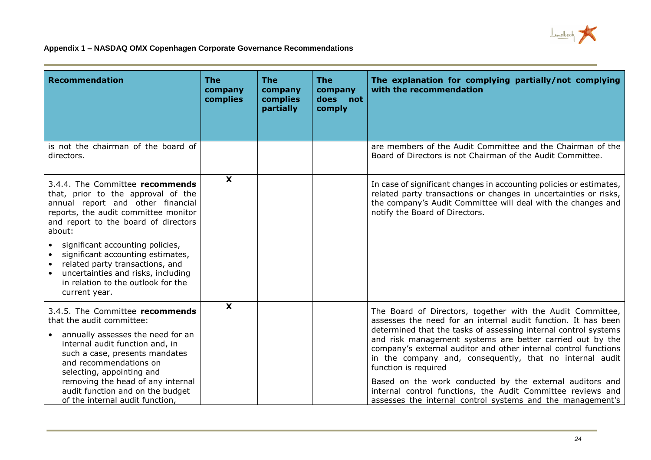

| <b>Recommendation</b>                                                                                                                                                                                                           | <b>The</b><br>company<br>complies | <b>The</b><br>company<br>complies<br>partially | <b>The</b><br>company<br>does<br>not<br>comply | The explanation for complying partially/not complying<br>with the recommendation                                                                                                                                                                                                                                                                                                                                   |
|---------------------------------------------------------------------------------------------------------------------------------------------------------------------------------------------------------------------------------|-----------------------------------|------------------------------------------------|------------------------------------------------|--------------------------------------------------------------------------------------------------------------------------------------------------------------------------------------------------------------------------------------------------------------------------------------------------------------------------------------------------------------------------------------------------------------------|
| is not the chairman of the board of<br>directors.                                                                                                                                                                               |                                   |                                                |                                                | are members of the Audit Committee and the Chairman of the<br>Board of Directors is not Chairman of the Audit Committee.                                                                                                                                                                                                                                                                                           |
| 3.4.4. The Committee recommends<br>that, prior to the approval of the<br>annual report and other financial<br>reports, the audit committee monitor<br>and report to the board of directors<br>about:                            | $\boldsymbol{\mathsf{X}}$         |                                                |                                                | In case of significant changes in accounting policies or estimates,<br>related party transactions or changes in uncertainties or risks,<br>the company's Audit Committee will deal with the changes and<br>notify the Board of Directors.                                                                                                                                                                          |
| significant accounting policies,<br>significant accounting estimates,<br>related party transactions, and<br>$\bullet$<br>uncertainties and risks, including<br>$\bullet$<br>in relation to the outlook for the<br>current year. |                                   |                                                |                                                |                                                                                                                                                                                                                                                                                                                                                                                                                    |
| 3.4.5. The Committee recommends<br>that the audit committee:<br>annually assesses the need for an<br>internal audit function and, in<br>such a case, presents mandates<br>and recommendations on                                | $\mathbf x$                       |                                                |                                                | The Board of Directors, together with the Audit Committee,<br>assesses the need for an internal audit function. It has been<br>determined that the tasks of assessing internal control systems<br>and risk management systems are better carried out by the<br>company's external auditor and other internal control functions<br>in the company and, consequently, that no internal audit<br>function is required |
| selecting, appointing and<br>removing the head of any internal<br>audit function and on the budget<br>of the internal audit function,                                                                                           |                                   |                                                |                                                | Based on the work conducted by the external auditors and<br>internal control functions, the Audit Committee reviews and<br>assesses the internal control systems and the management's                                                                                                                                                                                                                              |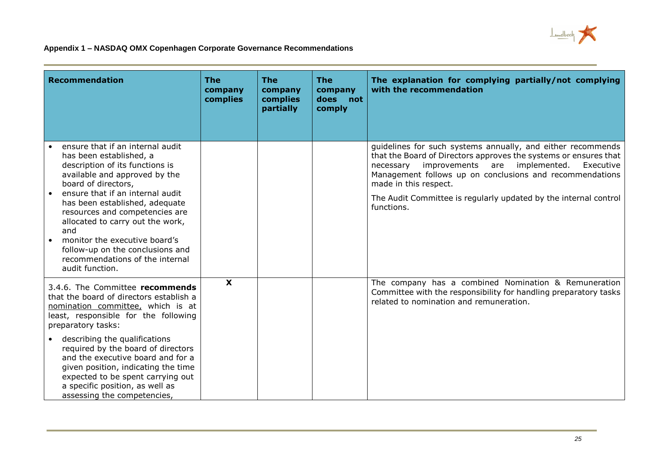

| <b>Recommendation</b>                                                                                                                                                                                                                                                                                                                                                                                                                   | <b>The</b><br>company<br>complies | <b>The</b><br>company<br>complies<br>partially | <b>The</b><br>company<br>does<br>not<br>comply | The explanation for complying partially/not complying<br>with the recommendation                                                                                                                                                                                                                                                                                  |
|-----------------------------------------------------------------------------------------------------------------------------------------------------------------------------------------------------------------------------------------------------------------------------------------------------------------------------------------------------------------------------------------------------------------------------------------|-----------------------------------|------------------------------------------------|------------------------------------------------|-------------------------------------------------------------------------------------------------------------------------------------------------------------------------------------------------------------------------------------------------------------------------------------------------------------------------------------------------------------------|
| ensure that if an internal audit<br>has been established, a<br>description of its functions is<br>available and approved by the<br>board of directors,<br>ensure that if an internal audit<br>has been established, adequate<br>resources and competencies are<br>allocated to carry out the work,<br>and<br>monitor the executive board's<br>follow-up on the conclusions and<br>recommendations of the internal<br>audit function.    |                                   |                                                |                                                | guidelines for such systems annually, and either recommends<br>that the Board of Directors approves the systems or ensures that<br>improvements are implemented.<br>necessary<br>Executive<br>Management follows up on conclusions and recommendations<br>made in this respect.<br>The Audit Committee is regularly updated by the internal control<br>functions. |
| 3.4.6. The Committee recommends<br>that the board of directors establish a<br>nomination committee, which is at<br>least, responsible for the following<br>preparatory tasks:<br>describing the qualifications<br>required by the board of directors<br>and the executive board and for a<br>given position, indicating the time<br>expected to be spent carrying out<br>a specific position, as well as<br>assessing the competencies, | $\boldsymbol{\mathsf{X}}$         |                                                |                                                | The company has a combined Nomination & Remuneration<br>Committee with the responsibility for handling preparatory tasks<br>related to nomination and remuneration.                                                                                                                                                                                               |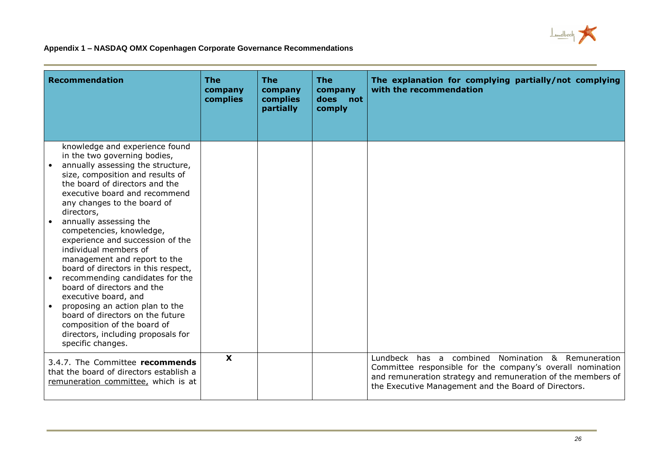

| Recommendation                                                                                                                                                                                                                                                                                                                                                                                                                                                                                                                                                                                                                                                                                              | <b>The</b><br>company<br>complies | <b>The</b><br>company<br>complies<br>partially | <b>The</b><br>company<br>does<br>not<br>comply | The explanation for complying partially/not complying<br>with the recommendation                                                                                                                                                        |
|-------------------------------------------------------------------------------------------------------------------------------------------------------------------------------------------------------------------------------------------------------------------------------------------------------------------------------------------------------------------------------------------------------------------------------------------------------------------------------------------------------------------------------------------------------------------------------------------------------------------------------------------------------------------------------------------------------------|-----------------------------------|------------------------------------------------|------------------------------------------------|-----------------------------------------------------------------------------------------------------------------------------------------------------------------------------------------------------------------------------------------|
| knowledge and experience found<br>in the two governing bodies,<br>annually assessing the structure,<br>size, composition and results of<br>the board of directors and the<br>executive board and recommend<br>any changes to the board of<br>directors,<br>annually assessing the<br>competencies, knowledge,<br>experience and succession of the<br>individual members of<br>management and report to the<br>board of directors in this respect,<br>recommending candidates for the<br>board of directors and the<br>executive board, and<br>proposing an action plan to the<br>board of directors on the future<br>composition of the board of<br>directors, including proposals for<br>specific changes. |                                   |                                                |                                                |                                                                                                                                                                                                                                         |
| 3.4.7. The Committee recommends<br>that the board of directors establish a<br>remuneration committee, which is at                                                                                                                                                                                                                                                                                                                                                                                                                                                                                                                                                                                           | $\boldsymbol{\mathsf{X}}$         |                                                |                                                | Lundbeck has a combined Nomination & Remuneration<br>Committee responsible for the company's overall nomination<br>and remuneration strategy and remuneration of the members of<br>the Executive Management and the Board of Directors. |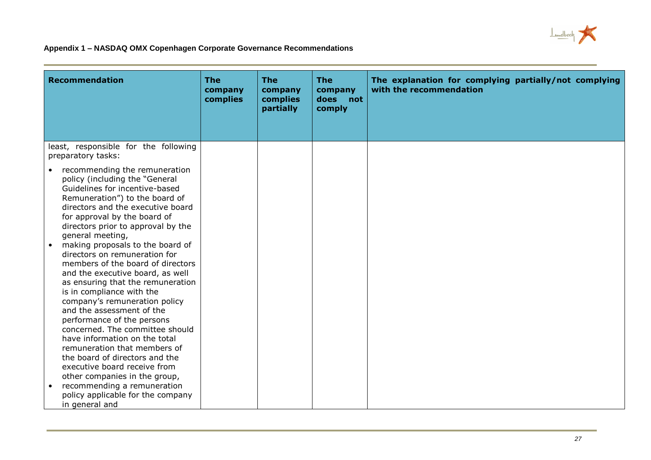

| <b>Recommendation</b>                                                                                                                                                                                                                                                                                                                                                                                                                                                                                                                                                                                                                                                                                                                                                                                                                                                                      | <b>The</b><br>company<br>complies | <b>The</b><br>company<br>complies<br>partially | <b>The</b><br>company<br>does<br>not<br>comply | The explanation for complying partially/not complying<br>with the recommendation |
|--------------------------------------------------------------------------------------------------------------------------------------------------------------------------------------------------------------------------------------------------------------------------------------------------------------------------------------------------------------------------------------------------------------------------------------------------------------------------------------------------------------------------------------------------------------------------------------------------------------------------------------------------------------------------------------------------------------------------------------------------------------------------------------------------------------------------------------------------------------------------------------------|-----------------------------------|------------------------------------------------|------------------------------------------------|----------------------------------------------------------------------------------|
| least, responsible for the following<br>preparatory tasks:                                                                                                                                                                                                                                                                                                                                                                                                                                                                                                                                                                                                                                                                                                                                                                                                                                 |                                   |                                                |                                                |                                                                                  |
| • recommending the remuneration<br>policy (including the "General<br>Guidelines for incentive-based<br>Remuneration") to the board of<br>directors and the executive board<br>for approval by the board of<br>directors prior to approval by the<br>general meeting,<br>making proposals to the board of<br>$\bullet$<br>directors on remuneration for<br>members of the board of directors<br>and the executive board, as well<br>as ensuring that the remuneration<br>is in compliance with the<br>company's remuneration policy<br>and the assessment of the<br>performance of the persons<br>concerned. The committee should<br>have information on the total<br>remuneration that members of<br>the board of directors and the<br>executive board receive from<br>other companies in the group,<br>recommending a remuneration<br>policy applicable for the company<br>in general and |                                   |                                                |                                                |                                                                                  |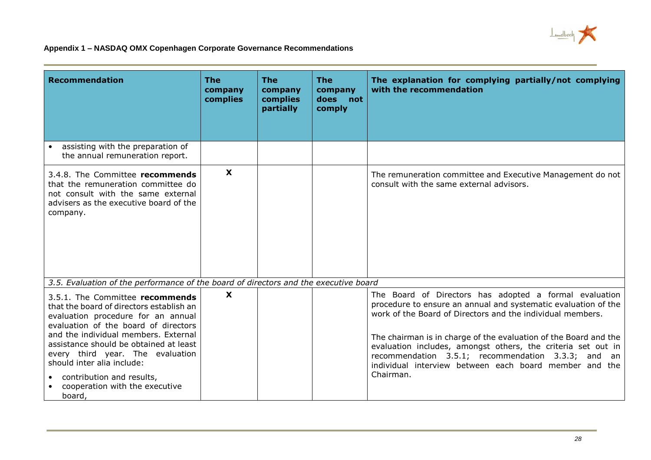

| <b>Recommendation</b>                                                                                                                                                                                                                                                                                                                                                                  | <b>The</b><br>company<br>complies | <b>The</b><br>company<br>complies<br>partially | <b>The</b><br>company<br>does<br>not<br>comply | The explanation for complying partially/not complying<br>with the recommendation                                                                                                                                                                                                                                                                                                                                                                        |
|----------------------------------------------------------------------------------------------------------------------------------------------------------------------------------------------------------------------------------------------------------------------------------------------------------------------------------------------------------------------------------------|-----------------------------------|------------------------------------------------|------------------------------------------------|---------------------------------------------------------------------------------------------------------------------------------------------------------------------------------------------------------------------------------------------------------------------------------------------------------------------------------------------------------------------------------------------------------------------------------------------------------|
| assisting with the preparation of<br>the annual remuneration report.                                                                                                                                                                                                                                                                                                                   |                                   |                                                |                                                |                                                                                                                                                                                                                                                                                                                                                                                                                                                         |
| 3.4.8. The Committee recommends<br>that the remuneration committee do<br>not consult with the same external<br>advisers as the executive board of the<br>company.                                                                                                                                                                                                                      | $\mathbf x$                       |                                                |                                                | The remuneration committee and Executive Management do not<br>consult with the same external advisors.                                                                                                                                                                                                                                                                                                                                                  |
| 3.5. Evaluation of the performance of the board of directors and the executive board                                                                                                                                                                                                                                                                                                   |                                   |                                                |                                                |                                                                                                                                                                                                                                                                                                                                                                                                                                                         |
| 3.5.1. The Committee recommends<br>that the board of directors establish an<br>evaluation procedure for an annual<br>evaluation of the board of directors<br>and the individual members. External<br>assistance should be obtained at least<br>every third year. The evaluation<br>should inter alia include:<br>contribution and results,<br>cooperation with the executive<br>board, | X                                 |                                                |                                                | The Board of Directors has adopted a formal evaluation<br>procedure to ensure an annual and systematic evaluation of the<br>work of the Board of Directors and the individual members.<br>The chairman is in charge of the evaluation of the Board and the<br>evaluation includes, amongst others, the criteria set out in<br>recommendation 3.5.1; recommendation 3.3.3; and an<br>individual interview between each board member and the<br>Chairman. |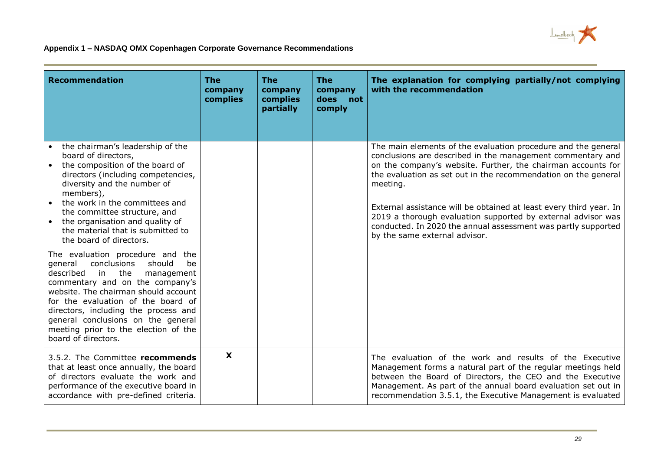

| <b>Recommendation</b>                                                                                                                                                                                                                                                                                                                                                         | <b>The</b><br>company<br>complies | <b>The</b><br>company<br>complies<br>partially | <b>The</b><br>company<br>does<br>not<br>comply | The explanation for complying partially/not complying<br>with the recommendation                                                                                                                                                                                                                                                                                                                                                                                                                                  |
|-------------------------------------------------------------------------------------------------------------------------------------------------------------------------------------------------------------------------------------------------------------------------------------------------------------------------------------------------------------------------------|-----------------------------------|------------------------------------------------|------------------------------------------------|-------------------------------------------------------------------------------------------------------------------------------------------------------------------------------------------------------------------------------------------------------------------------------------------------------------------------------------------------------------------------------------------------------------------------------------------------------------------------------------------------------------------|
| the chairman's leadership of the<br>board of directors,<br>the composition of the board of<br>directors (including competencies,<br>diversity and the number of<br>members),<br>the work in the committees and<br>the committee structure, and<br>the organisation and quality of<br>$\bullet$<br>the material that is submitted to<br>the board of directors.                |                                   |                                                |                                                | The main elements of the evaluation procedure and the general<br>conclusions are described in the management commentary and<br>on the company's website. Further, the chairman accounts for<br>the evaluation as set out in the recommendation on the general<br>meeting.<br>External assistance will be obtained at least every third year. In<br>2019 a thorough evaluation supported by external advisor was<br>conducted. In 2020 the annual assessment was partly supported<br>by the same external advisor. |
| The evaluation procedure and the<br>conclusions<br>should<br>be<br>general<br>in the<br>described<br>management<br>commentary and on the company's<br>website. The chairman should account<br>for the evaluation of the board of<br>directors, including the process and<br>general conclusions on the general<br>meeting prior to the election of the<br>board of directors. |                                   |                                                |                                                |                                                                                                                                                                                                                                                                                                                                                                                                                                                                                                                   |
| 3.5.2. The Committee recommends<br>that at least once annually, the board<br>of directors evaluate the work and<br>performance of the executive board in<br>accordance with pre-defined criteria.                                                                                                                                                                             | $\mathbf x$                       |                                                |                                                | The evaluation of the work and results of the Executive<br>Management forms a natural part of the regular meetings held<br>between the Board of Directors, the CEO and the Executive<br>Management. As part of the annual board evaluation set out in<br>recommendation 3.5.1, the Executive Management is evaluated                                                                                                                                                                                              |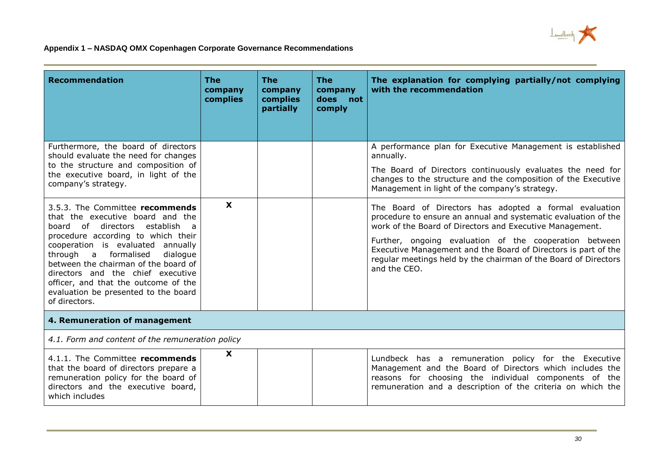

| <b>Recommendation</b>                                                                                                                                                                                                                                                                                                                                                                                 | <b>The</b><br>company<br>complies | <b>The</b><br>company<br>complies<br>partially | <b>The</b><br>company<br>does<br>not<br>comply | The explanation for complying partially/not complying<br>with the recommendation                                                                                                                                                                                                                                                                                                                    |  |
|-------------------------------------------------------------------------------------------------------------------------------------------------------------------------------------------------------------------------------------------------------------------------------------------------------------------------------------------------------------------------------------------------------|-----------------------------------|------------------------------------------------|------------------------------------------------|-----------------------------------------------------------------------------------------------------------------------------------------------------------------------------------------------------------------------------------------------------------------------------------------------------------------------------------------------------------------------------------------------------|--|
| Furthermore, the board of directors<br>should evaluate the need for changes                                                                                                                                                                                                                                                                                                                           |                                   |                                                |                                                | A performance plan for Executive Management is established<br>annually.                                                                                                                                                                                                                                                                                                                             |  |
| to the structure and composition of<br>the executive board, in light of the<br>company's strategy.                                                                                                                                                                                                                                                                                                    |                                   |                                                |                                                | The Board of Directors continuously evaluates the need for<br>changes to the structure and the composition of the Executive<br>Management in light of the company's strategy.                                                                                                                                                                                                                       |  |
| 3.5.3. The Committee recommends<br>that the executive board and the<br>board of directors establish a<br>procedure according to which their<br>cooperation is evaluated annually<br>a formalised<br>through<br>dialogue<br>between the chairman of the board of<br>directors and the chief executive<br>officer, and that the outcome of the<br>evaluation be presented to the board<br>of directors. | $\boldsymbol{\mathsf{X}}$         |                                                |                                                | The Board of Directors has adopted a formal evaluation<br>procedure to ensure an annual and systematic evaluation of the<br>work of the Board of Directors and Executive Management.<br>Further, ongoing evaluation of the cooperation between<br>Executive Management and the Board of Directors is part of the<br>regular meetings held by the chairman of the Board of Directors<br>and the CEO. |  |
| 4. Remuneration of management                                                                                                                                                                                                                                                                                                                                                                         |                                   |                                                |                                                |                                                                                                                                                                                                                                                                                                                                                                                                     |  |
| 4.1. Form and content of the remuneration policy                                                                                                                                                                                                                                                                                                                                                      |                                   |                                                |                                                |                                                                                                                                                                                                                                                                                                                                                                                                     |  |
| 4.1.1. The Committee recommends<br>that the board of directors prepare a<br>remuneration policy for the board of<br>directors and the executive board,<br>which includes                                                                                                                                                                                                                              | X                                 |                                                |                                                | Lundbeck has a remuneration policy for the Executive<br>Management and the Board of Directors which includes the<br>reasons for choosing the individual components of the<br>remuneration and a description of the criteria on which the                                                                                                                                                            |  |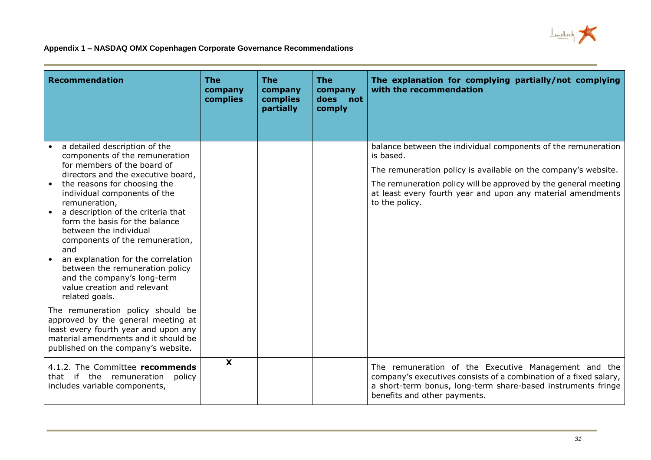

| <b>Recommendation</b>                                                                                                                                                                                                                                                                                                                                                                                                                                                                                                                                                                                                                                                                                                        | <b>The</b><br>company<br>complies | <b>The</b><br>company<br>complies<br>partially | <b>The</b><br>company<br>does<br>not<br>comply | The explanation for complying partially/not complying<br>with the recommendation                                                                                                                                                                                                                 |
|------------------------------------------------------------------------------------------------------------------------------------------------------------------------------------------------------------------------------------------------------------------------------------------------------------------------------------------------------------------------------------------------------------------------------------------------------------------------------------------------------------------------------------------------------------------------------------------------------------------------------------------------------------------------------------------------------------------------------|-----------------------------------|------------------------------------------------|------------------------------------------------|--------------------------------------------------------------------------------------------------------------------------------------------------------------------------------------------------------------------------------------------------------------------------------------------------|
| a detailed description of the<br>components of the remuneration<br>for members of the board of<br>directors and the executive board,<br>the reasons for choosing the<br>individual components of the<br>remuneration,<br>a description of the criteria that<br>form the basis for the balance<br>between the individual<br>components of the remuneration,<br>and<br>an explanation for the correlation<br>between the remuneration policy<br>and the company's long-term<br>value creation and relevant<br>related goals.<br>The remuneration policy should be<br>approved by the general meeting at<br>least every fourth year and upon any<br>material amendments and it should be<br>published on the company's website. |                                   |                                                |                                                | balance between the individual components of the remuneration<br>is based.<br>The remuneration policy is available on the company's website.<br>The remuneration policy will be approved by the general meeting<br>at least every fourth year and upon any material amendments<br>to the policy. |
| 4.1.2. The Committee recommends<br>that if the remuneration<br>policy<br>includes variable components,                                                                                                                                                                                                                                                                                                                                                                                                                                                                                                                                                                                                                       | X                                 |                                                |                                                | The remuneration of the Executive Management and the<br>company's executives consists of a combination of a fixed salary,<br>a short-term bonus, long-term share-based instruments fringe<br>benefits and other payments.                                                                        |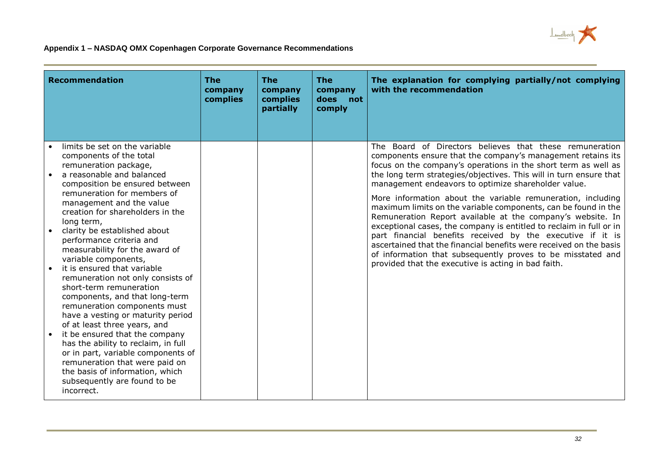

| <b>Recommendation</b>                                                                                                                                                                                                                                                                                                                                                                                                                                                                                                                                                                                                                                                                                                                                                                                                                                       | <b>The</b><br>company<br>complies | <b>The</b><br>company<br>complies<br>partially | <b>The</b><br>company<br>does<br>not<br>comply | The explanation for complying partially/not complying<br>with the recommendation                                                                                                                                                                                                                                                                                                                                                                                                                                                                                                                                                                                                                                                                                                                                                                      |
|-------------------------------------------------------------------------------------------------------------------------------------------------------------------------------------------------------------------------------------------------------------------------------------------------------------------------------------------------------------------------------------------------------------------------------------------------------------------------------------------------------------------------------------------------------------------------------------------------------------------------------------------------------------------------------------------------------------------------------------------------------------------------------------------------------------------------------------------------------------|-----------------------------------|------------------------------------------------|------------------------------------------------|-------------------------------------------------------------------------------------------------------------------------------------------------------------------------------------------------------------------------------------------------------------------------------------------------------------------------------------------------------------------------------------------------------------------------------------------------------------------------------------------------------------------------------------------------------------------------------------------------------------------------------------------------------------------------------------------------------------------------------------------------------------------------------------------------------------------------------------------------------|
| limits be set on the variable<br>components of the total<br>remuneration package,<br>a reasonable and balanced<br>composition be ensured between<br>remuneration for members of<br>management and the value<br>creation for shareholders in the<br>long term,<br>clarity be established about<br>performance criteria and<br>measurability for the award of<br>variable components,<br>it is ensured that variable<br>remuneration not only consists of<br>short-term remuneration<br>components, and that long-term<br>remuneration components must<br>have a vesting or maturity period<br>of at least three years, and<br>it be ensured that the company<br>has the ability to reclaim, in full<br>or in part, variable components of<br>remuneration that were paid on<br>the basis of information, which<br>subsequently are found to be<br>incorrect. |                                   |                                                |                                                | The Board of Directors believes that these remuneration<br>components ensure that the company's management retains its<br>focus on the company's operations in the short term as well as<br>the long term strategies/objectives. This will in turn ensure that<br>management endeavors to optimize shareholder value.<br>More information about the variable remuneration, including<br>maximum limits on the variable components, can be found in the<br>Remuneration Report available at the company's website. In<br>exceptional cases, the company is entitled to reclaim in full or in<br>part financial benefits received by the executive if it is<br>ascertained that the financial benefits were received on the basis<br>of information that subsequently proves to be misstated and<br>provided that the executive is acting in bad faith. |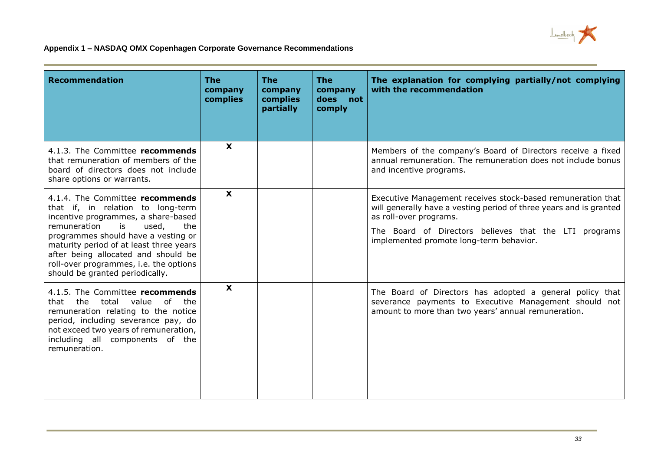

| <b>Recommendation</b>                                                                                                                                                                                                                                                                                                                                   | <b>The</b><br>company<br>complies | <b>The</b><br>company<br>complies<br>partially | <b>The</b><br>company<br>does<br>not<br>comply | The explanation for complying partially/not complying<br>with the recommendation                                                                                                                                                                                |
|---------------------------------------------------------------------------------------------------------------------------------------------------------------------------------------------------------------------------------------------------------------------------------------------------------------------------------------------------------|-----------------------------------|------------------------------------------------|------------------------------------------------|-----------------------------------------------------------------------------------------------------------------------------------------------------------------------------------------------------------------------------------------------------------------|
| 4.1.3. The Committee recommends<br>that remuneration of members of the<br>board of directors does not include<br>share options or warrants.                                                                                                                                                                                                             | $\boldsymbol{\mathsf{X}}$         |                                                |                                                | Members of the company's Board of Directors receive a fixed<br>annual remuneration. The remuneration does not include bonus<br>and incentive programs.                                                                                                          |
| 4.1.4. The Committee recommends<br>that if, in relation to long-term<br>incentive programmes, a share-based<br>remuneration<br>is<br>used,<br>the<br>programmes should have a vesting or<br>maturity period of at least three years<br>after being allocated and should be<br>roll-over programmes, i.e. the options<br>should be granted periodically. | $\mathbf{x}$                      |                                                |                                                | Executive Management receives stock-based remuneration that<br>will generally have a vesting period of three years and is granted<br>as roll-over programs.<br>The Board of Directors believes that the LTI programs<br>implemented promote long-term behavior. |
| 4.1.5. The Committee recommends<br>the<br>total<br>value<br>of the<br>that<br>remuneration relating to the notice<br>period, including severance pay, do<br>not exceed two years of remuneration,<br>including all components of the<br>remuneration.                                                                                                   | X                                 |                                                |                                                | The Board of Directors has adopted a general policy that<br>severance payments to Executive Management should not<br>amount to more than two years' annual remuneration.                                                                                        |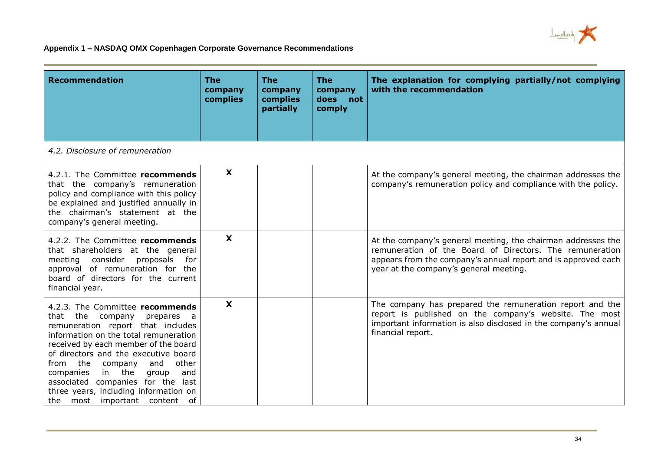

| <b>Recommendation</b>                                                                                                                                                                                                                                                                                                                                                                                                        | <b>The</b><br>company<br>complies | <b>The</b><br>company<br>complies<br>partially | <b>The</b><br>company<br>does<br>not<br>comply | The explanation for complying partially/not complying<br>with the recommendation                                                                                                                                                    |
|------------------------------------------------------------------------------------------------------------------------------------------------------------------------------------------------------------------------------------------------------------------------------------------------------------------------------------------------------------------------------------------------------------------------------|-----------------------------------|------------------------------------------------|------------------------------------------------|-------------------------------------------------------------------------------------------------------------------------------------------------------------------------------------------------------------------------------------|
| 4.2. Disclosure of remuneration                                                                                                                                                                                                                                                                                                                                                                                              |                                   |                                                |                                                |                                                                                                                                                                                                                                     |
| 4.2.1. The Committee recommends<br>that the company's remuneration<br>policy and compliance with this policy<br>be explained and justified annually in<br>the chairman's statement at the<br>company's general meeting.                                                                                                                                                                                                      | X                                 |                                                |                                                | At the company's general meeting, the chairman addresses the<br>company's remuneration policy and compliance with the policy.                                                                                                       |
| 4.2.2. The Committee recommends<br>that shareholders at the general<br>consider<br>proposals<br>meeting<br>for<br>approval of remuneration for the<br>board of directors for the current<br>financial year.                                                                                                                                                                                                                  | $\boldsymbol{\mathsf{X}}$         |                                                |                                                | At the company's general meeting, the chairman addresses the<br>remuneration of the Board of Directors. The remuneration<br>appears from the company's annual report and is approved each<br>year at the company's general meeting. |
| 4.2.3. The Committee recommends<br>that the company<br>prepares a<br>remuneration report that includes<br>information on the total remuneration<br>received by each member of the board<br>of directors and the executive board<br>from the<br>other<br>and<br>company<br>in the<br>and<br>companies<br>group<br>associated companies for the last<br>three years, including information on<br>the most important content of | X                                 |                                                |                                                | The company has prepared the remuneration report and the<br>report is published on the company's website. The most<br>important information is also disclosed in the company's annual<br>financial report.                          |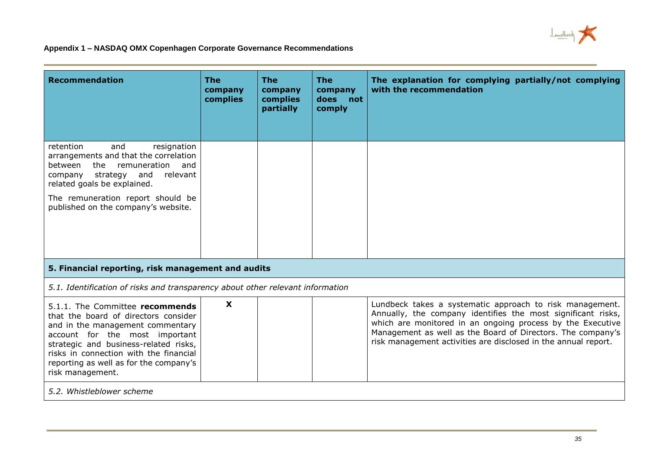

| <b>Recommendation</b>                                                                                                                                                                                                                                                                          | The<br>company<br>complies | <b>The</b><br>company<br>complies<br>partially | <b>The</b><br>company<br>does<br>not<br>comply | The explanation for complying partially/not complying<br>with the recommendation                                                                                                                                                                                                                                        |  |
|------------------------------------------------------------------------------------------------------------------------------------------------------------------------------------------------------------------------------------------------------------------------------------------------|----------------------------|------------------------------------------------|------------------------------------------------|-------------------------------------------------------------------------------------------------------------------------------------------------------------------------------------------------------------------------------------------------------------------------------------------------------------------------|--|
| retention<br>resignation<br>and<br>arrangements and that the correlation<br>between<br>the<br>remuneration<br>and<br>relevant<br>strategy<br>and<br>company<br>related goals be explained.<br>The remuneration report should be<br>published on the company's website.                         |                            |                                                |                                                |                                                                                                                                                                                                                                                                                                                         |  |
| 5. Financial reporting, risk management and audits                                                                                                                                                                                                                                             |                            |                                                |                                                |                                                                                                                                                                                                                                                                                                                         |  |
| 5.1. Identification of risks and transparency about other relevant information                                                                                                                                                                                                                 |                            |                                                |                                                |                                                                                                                                                                                                                                                                                                                         |  |
| 5.1.1. The Committee recommends<br>that the board of directors consider<br>and in the management commentary<br>account for the most important<br>strategic and business-related risks,<br>risks in connection with the financial<br>reporting as well as for the company's<br>risk management. | $\boldsymbol{\mathsf{X}}$  |                                                |                                                | Lundbeck takes a systematic approach to risk management.<br>Annually, the company identifies the most significant risks,<br>which are monitored in an ongoing process by the Executive<br>Management as well as the Board of Directors. The company's<br>risk management activities are disclosed in the annual report. |  |
| 5.2. Whistleblower scheme                                                                                                                                                                                                                                                                      |                            |                                                |                                                |                                                                                                                                                                                                                                                                                                                         |  |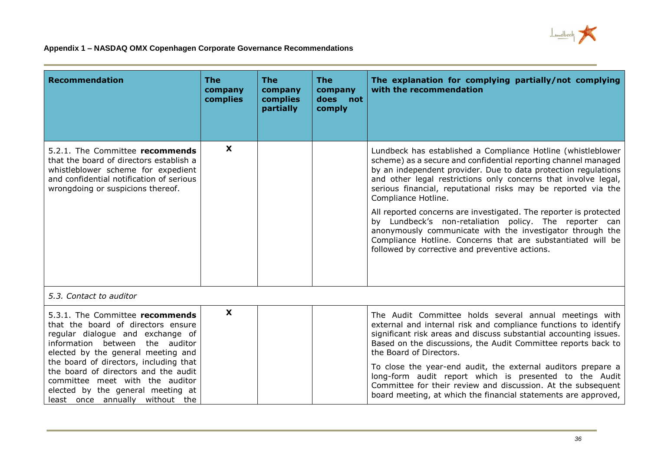

| <b>Recommendation</b>                                                                                                                                                                                                                                                                                                                                                           | The<br>company<br>complies | <b>The</b><br>company<br>complies<br>partially | <b>The</b><br>company<br>does<br>not<br>comply | The explanation for complying partially/not complying<br>with the recommendation                                                                                                                                                                                                                                                                                                                                                                                                                                                                                                                                                                                        |
|---------------------------------------------------------------------------------------------------------------------------------------------------------------------------------------------------------------------------------------------------------------------------------------------------------------------------------------------------------------------------------|----------------------------|------------------------------------------------|------------------------------------------------|-------------------------------------------------------------------------------------------------------------------------------------------------------------------------------------------------------------------------------------------------------------------------------------------------------------------------------------------------------------------------------------------------------------------------------------------------------------------------------------------------------------------------------------------------------------------------------------------------------------------------------------------------------------------------|
| 5.2.1. The Committee recommends<br>that the board of directors establish a<br>whistleblower scheme for expedient<br>and confidential notification of serious<br>wrongdoing or suspicions thereof.                                                                                                                                                                               | X                          |                                                |                                                | Lundbeck has established a Compliance Hotline (whistleblower<br>scheme) as a secure and confidential reporting channel managed<br>by an independent provider. Due to data protection regulations<br>and other legal restrictions only concerns that involve legal,<br>serious financial, reputational risks may be reported via the<br>Compliance Hotline.<br>All reported concerns are investigated. The reporter is protected<br>by Lundbeck's non-retaliation policy. The reporter can<br>anonymously communicate with the investigator through the<br>Compliance Hotline. Concerns that are substantiated will be<br>followed by corrective and preventive actions. |
| 5.3. Contact to auditor                                                                                                                                                                                                                                                                                                                                                         |                            |                                                |                                                |                                                                                                                                                                                                                                                                                                                                                                                                                                                                                                                                                                                                                                                                         |
| 5.3.1. The Committee recommends<br>that the board of directors ensure<br>regular dialogue and exchange of<br>information between the auditor<br>elected by the general meeting and<br>the board of directors, including that<br>the board of directors and the audit<br>committee meet with the auditor<br>elected by the general meeting at<br>least once annually without the | X                          |                                                |                                                | The Audit Committee holds several annual meetings with<br>external and internal risk and compliance functions to identify<br>significant risk areas and discuss substantial accounting issues.<br>Based on the discussions, the Audit Committee reports back to<br>the Board of Directors.<br>To close the year-end audit, the external auditors prepare a<br>long-form audit report which is presented to the Audit<br>Committee for their review and discussion. At the subsequent<br>board meeting, at which the financial statements are approved,                                                                                                                  |